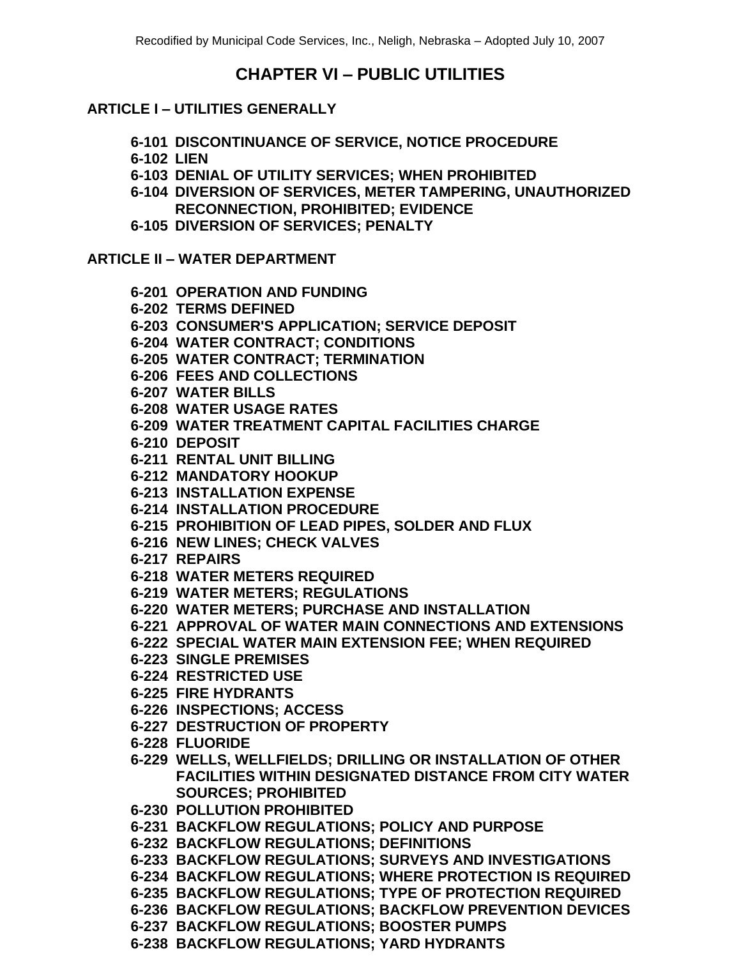# **CHAPTER VI – PUBLIC UTILITIES**

### **ARTICLE I – UTILITIES GENERALLY**

- **6-101 DISCONTINUANCE OF SERVICE, NOTICE PROCEDURE**
- **6-102 LIEN**
- **6-103 DENIAL OF UTILITY SERVICES; WHEN PROHIBITED**
- **6-104 DIVERSION OF SERVICES, METER TAMPERING, UNAUTHORIZED RECONNECTION, PROHIBITED; EVIDENCE**
- **6-105 DIVERSION OF SERVICES; PENALTY**

### **ARTICLE II – WATER DEPARTMENT**

- **6-201 OPERATION AND FUNDING**
- **6-202 TERMS DEFINED**
- **6-203 CONSUMER'S APPLICATION; SERVICE DEPOSIT**
- **6-204 WATER CONTRACT; CONDITIONS**
- **6-205 WATER CONTRACT; TERMINATION**
- **6-206 FEES AND COLLECTIONS**
- **6-207 WATER BILLS**
- **6-208 WATER USAGE RATES**
- **6-209 WATER TREATMENT CAPITAL FACILITIES CHARGE**
- **6-210 DEPOSIT**
- **6-211 RENTAL UNIT BILLING**
- **6-212 MANDATORY HOOKUP**
- **6-213 INSTALLATION EXPENSE**
- **6-214 INSTALLATION PROCEDURE**
- **6-215 PROHIBITION OF LEAD PIPES, SOLDER AND FLUX**
- **6-216 NEW LINES; CHECK VALVES**
- **6-217 REPAIRS**
- **6-218 WATER METERS REQUIRED**
- **6-219 WATER METERS; REGULATIONS**
- **6-220 WATER METERS; PURCHASE AND INSTALLATION**
- **6-221 APPROVAL OF WATER MAIN CONNECTIONS AND EXTENSIONS**
- **6-222 SPECIAL WATER MAIN EXTENSION FEE; WHEN REQUIRED**
- **6-223 SINGLE PREMISES**
- **6-224 RESTRICTED USE**
- **6-225 FIRE HYDRANTS**
- **6-226 INSPECTIONS; ACCESS**
- **6-227 DESTRUCTION OF PROPERTY**
- **6-228 FLUORIDE**
- **6-229 WELLS, WELLFIELDS; DRILLING OR INSTALLATION OF OTHER FACILITIES WITHIN DESIGNATED DISTANCE FROM CITY WATER SOURCES; PROHIBITED**
- **6-230 POLLUTION PROHIBITED**
- **6-231 BACKFLOW REGULATIONS; POLICY AND PURPOSE**
- **6-232 BACKFLOW REGULATIONS; DEFINITIONS**
- **6-233 BACKFLOW REGULATIONS; SURVEYS AND INVESTIGATIONS**
- **6-234 BACKFLOW REGULATIONS; WHERE PROTECTION IS REQUIRED**
- **6-235 BACKFLOW REGULATIONS; TYPE OF PROTECTION REQUIRED**
- **6-236 BACKFLOW REGULATIONS; BACKFLOW PREVENTION DEVICES**
- **6-237 BACKFLOW REGULATIONS; BOOSTER PUMPS**
- **6-238 BACKFLOW REGULATIONS; YARD HYDRANTS**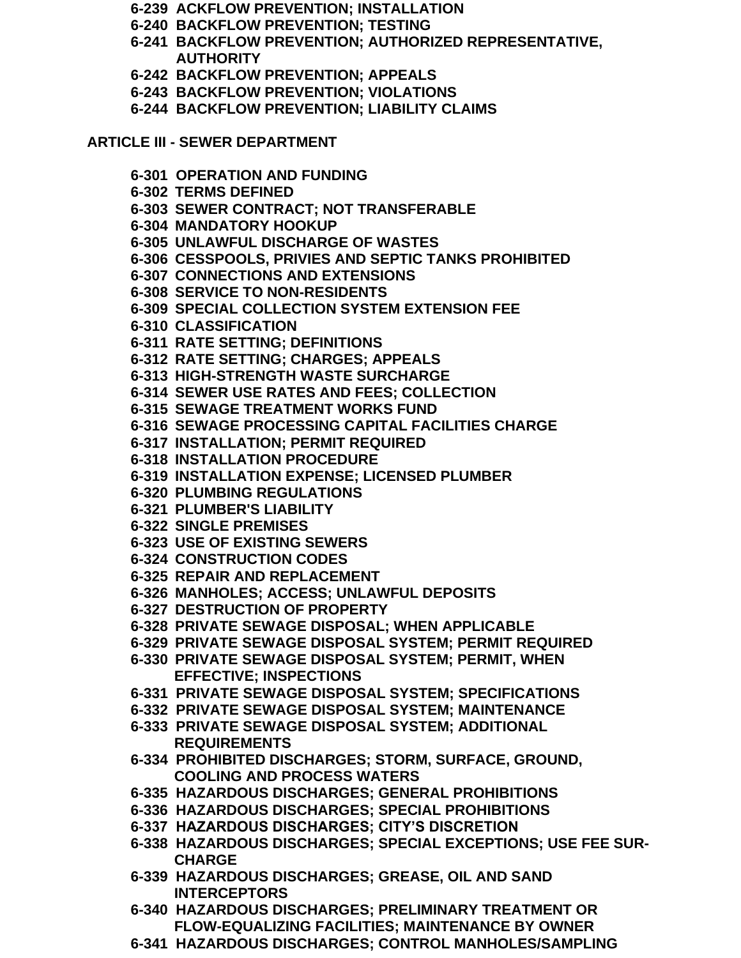- **6-239 ACKFLOW PREVENTION; INSTALLATION**
- **6-240 BACKFLOW PREVENTION; TESTING**
- **6-241 BACKFLOW PREVENTION; AUTHORIZED REPRESENTATIVE, AUTHORITY**
- **6-242 BACKFLOW PREVENTION; APPEALS**
- **6-243 BACKFLOW PREVENTION; VIOLATIONS**
- **6-244 BACKFLOW PREVENTION; LIABILITY CLAIMS**

**ARTICLE III - SEWER DEPARTMENT**

- **6-301 OPERATION AND FUNDING**
- **6-302 TERMS DEFINED**
- **6-303 SEWER CONTRACT; NOT TRANSFERABLE**
- **6-304 MANDATORY HOOKUP**
- **6-305 UNLAWFUL DISCHARGE OF WASTES**
- **6-306 CESSPOOLS, PRIVIES AND SEPTIC TANKS PROHIBITED**
- **6-307 CONNECTIONS AND EXTENSIONS**
- **6-308 SERVICE TO NON-RESIDENTS**
- **6-309 SPECIAL COLLECTION SYSTEM EXTENSION FEE**
- **6-310 CLASSIFICATION**
- **6-311 RATE SETTING; DEFINITIONS**
- **6-312 RATE SETTING; CHARGES; APPEALS**
- **6-313 HIGH-STRENGTH WASTE SURCHARGE**
- **6-314 SEWER USE RATES AND FEES; COLLECTION**
- **6-315 SEWAGE TREATMENT WORKS FUND**
- **6-316 SEWAGE PROCESSING CAPITAL FACILITIES CHARGE**
- **6-317 INSTALLATION; PERMIT REQUIRED**
- **6-318 INSTALLATION PROCEDURE**
- **6-319 INSTALLATION EXPENSE; LICENSED PLUMBER**
- **6-320 PLUMBING REGULATIONS**
- **6-321 PLUMBER'S LIABILITY**
- **6-322 SINGLE PREMISES**
- **6-323 USE OF EXISTING SEWERS**
- **6-324 CONSTRUCTION CODES**
- **6-325 REPAIR AND REPLACEMENT**
- **6-326 MANHOLES; ACCESS; UNLAWFUL DEPOSITS**
- **6-327 DESTRUCTION OF PROPERTY**
- **6-328 PRIVATE SEWAGE DISPOSAL; WHEN APPLICABLE**
- **6-329 PRIVATE SEWAGE DISPOSAL SYSTEM; PERMIT REQUIRED**
- **6-330 PRIVATE SEWAGE DISPOSAL SYSTEM; PERMIT, WHEN EFFECTIVE; INSPECTIONS**
- **6-331 PRIVATE SEWAGE DISPOSAL SYSTEM; SPECIFICATIONS**
- **6-332 PRIVATE SEWAGE DISPOSAL SYSTEM; MAINTENANCE**
- **6-333 PRIVATE SEWAGE DISPOSAL SYSTEM; ADDITIONAL REQUIREMENTS**
- **6-334 PROHIBITED DISCHARGES; STORM, SURFACE, GROUND, COOLING AND PROCESS WATERS**
- **6-335 HAZARDOUS DISCHARGES; GENERAL PROHIBITIONS**
- **6-336 HAZARDOUS DISCHARGES; SPECIAL PROHIBITIONS**
- **6-337 HAZARDOUS DISCHARGES; CITY'S DISCRETION**
- **6-338 HAZARDOUS DISCHARGES; SPECIAL EXCEPTIONS; USE FEE SUR-CHARGE**
- **6-339 HAZARDOUS DISCHARGES; GREASE, OIL AND SAND INTERCEPTORS**
- **6-340 HAZARDOUS DISCHARGES; PRELIMINARY TREATMENT OR FLOW-EQUALIZING FACILITIES; MAINTENANCE BY OWNER**
- **6-341 HAZARDOUS DISCHARGES; CONTROL MANHOLES/SAMPLING**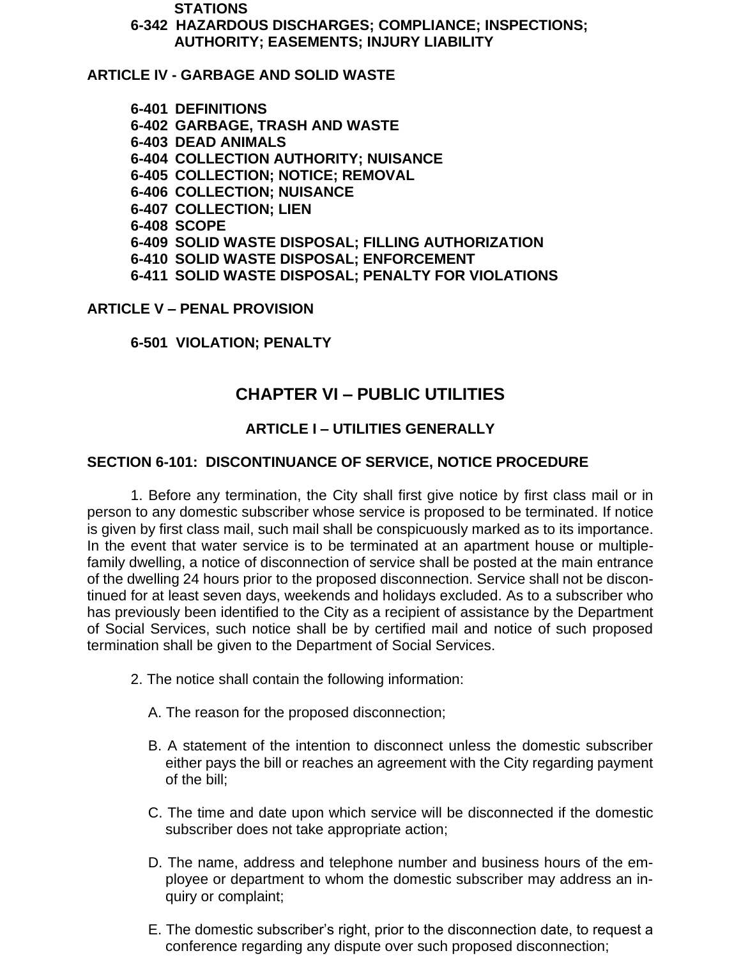**STATIONS**

**6-342 HAZARDOUS DISCHARGES; COMPLIANCE; INSPECTIONS; AUTHORITY; EASEMENTS; INJURY LIABILITY**

**ARTICLE IV - GARBAGE AND SOLID WASTE**

**6-401 DEFINITIONS 6-402 GARBAGE, TRASH AND WASTE 6-403 DEAD ANIMALS 6-404 COLLECTION AUTHORITY; NUISANCE 6-405 COLLECTION; NOTICE; REMOVAL 6-406 COLLECTION; NUISANCE 6-407 COLLECTION; LIEN 6-408 SCOPE 6-409 SOLID WASTE DISPOSAL; FILLING AUTHORIZATION 6-410 SOLID WASTE DISPOSAL; ENFORCEMENT 6-411 SOLID WASTE DISPOSAL; PENALTY FOR VIOLATIONS**

#### **ARTICLE V – PENAL PROVISION**

**6-501 VIOLATION; PENALTY**

# **CHAPTER VI – PUBLIC UTILITIES**

#### **ARTICLE I – UTILITIES GENERALLY**

#### **SECTION 6-101: DISCONTINUANCE OF SERVICE, NOTICE PROCEDURE**

1. Before any termination, the City shall first give notice by first class mail or in person to any domestic subscriber whose service is proposed to be terminated. If notice is given by first class mail, such mail shall be conspicuously marked as to its importance. In the event that water service is to be terminated at an apartment house or multiplefamily dwelling, a notice of disconnection of service shall be posted at the main entrance of the dwelling 24 hours prior to the proposed disconnection. Service shall not be discontinued for at least seven days, weekends and holidays excluded. As to a subscriber who has previously been identified to the City as a recipient of assistance by the Department of Social Services, such notice shall be by certified mail and notice of such proposed termination shall be given to the Department of Social Services.

- 2. The notice shall contain the following information:
	- A. The reason for the proposed disconnection;
	- B. A statement of the intention to disconnect unless the domestic subscriber either pays the bill or reaches an agreement with the City regarding payment of the bill;
	- C. The time and date upon which service will be disconnected if the domestic subscriber does not take appropriate action;
	- D. The name, address and telephone number and business hours of the employee or department to whom the domestic subscriber may address an inquiry or complaint;
	- E. The domestic subscriber's right, prior to the disconnection date, to request a conference regarding any dispute over such proposed disconnection;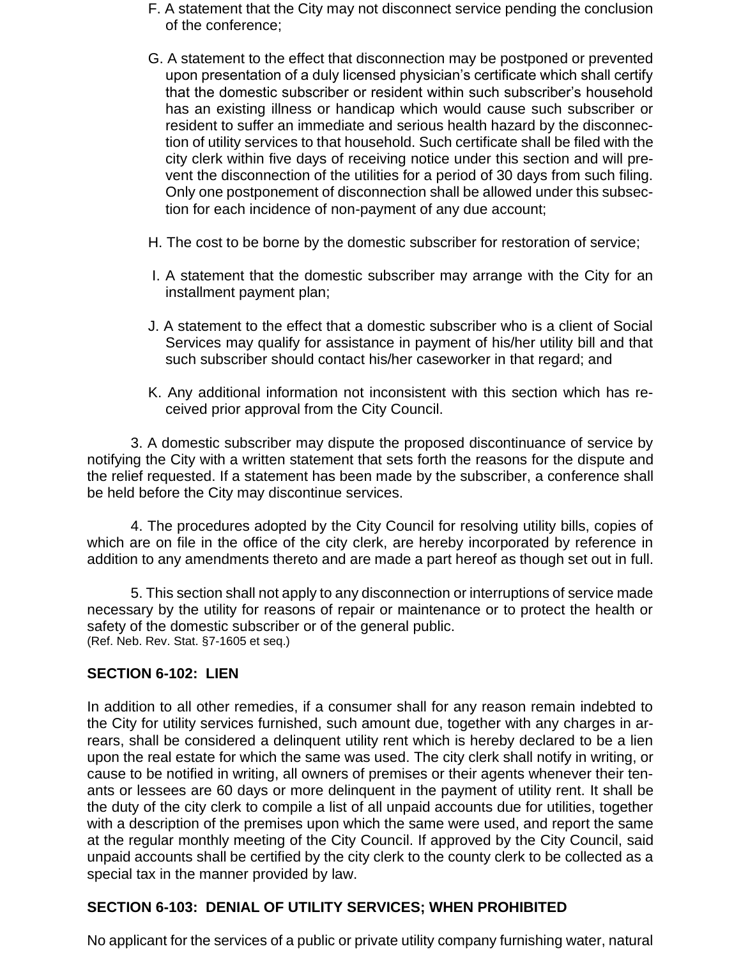- F. A statement that the City may not disconnect service pending the conclusion of the conference;
- G. A statement to the effect that disconnection may be postponed or prevented upon presentation of a duly licensed physician's certificate which shall certify that the domestic subscriber or resident within such subscriber's household has an existing illness or handicap which would cause such subscriber or resident to suffer an immediate and serious health hazard by the disconnection of utility services to that household. Such certificate shall be filed with the city clerk within five days of receiving notice under this section and will prevent the disconnection of the utilities for a period of 30 days from such filing. Only one postponement of disconnection shall be allowed under this subsection for each incidence of non-payment of any due account;
- H. The cost to be borne by the domestic subscriber for restoration of service;
- I. A statement that the domestic subscriber may arrange with the City for an installment payment plan;
- J. A statement to the effect that a domestic subscriber who is a client of Social Services may qualify for assistance in payment of his/her utility bill and that such subscriber should contact his/her caseworker in that regard; and
- K. Any additional information not inconsistent with this section which has received prior approval from the City Council.

3. A domestic subscriber may dispute the proposed discontinuance of service by notifying the City with a written statement that sets forth the reasons for the dispute and the relief requested. If a statement has been made by the subscriber, a conference shall be held before the City may discontinue services.

4. The procedures adopted by the City Council for resolving utility bills, copies of which are on file in the office of the city clerk, are hereby incorporated by reference in addition to any amendments thereto and are made a part hereof as though set out in full.

5. This section shall not apply to any disconnection or interruptions of service made necessary by the utility for reasons of repair or maintenance or to protect the health or safety of the domestic subscriber or of the general public. (Ref. Neb. Rev. Stat. §7-1605 et seq.)

### **SECTION 6-102: LIEN**

In addition to all other remedies, if a consumer shall for any reason remain indebted to the City for utility services furnished, such amount due, together with any charges in arrears, shall be considered a delinquent utility rent which is hereby declared to be a lien upon the real estate for which the same was used. The city clerk shall notify in writing, or cause to be notified in writing, all owners of premises or their agents whenever their tenants or lessees are 60 days or more delinquent in the payment of utility rent. It shall be the duty of the city clerk to compile a list of all unpaid accounts due for utilities, together with a description of the premises upon which the same were used, and report the same at the regular monthly meeting of the City Council. If approved by the City Council, said unpaid accounts shall be certified by the city clerk to the county clerk to be collected as a special tax in the manner provided by law.

### **SECTION 6-103: DENIAL OF UTILITY SERVICES; WHEN PROHIBITED**

No applicant for the services of a public or private utility company furnishing water, natural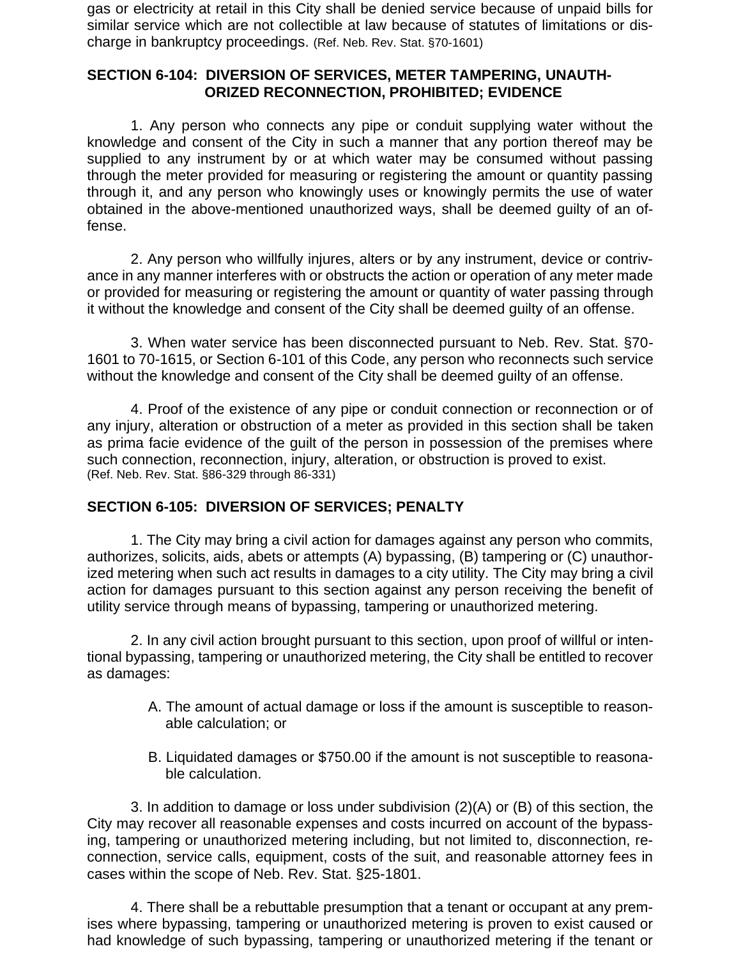gas or electricity at retail in this City shall be denied service because of unpaid bills for similar service which are not collectible at law because of statutes of limitations or discharge in bankruptcy proceedings. (Ref. Neb. Rev. Stat. §70-1601)

#### **SECTION 6-104: DIVERSION OF SERVICES, METER TAMPERING, UNAUTH-ORIZED RECONNECTION, PROHIBITED; EVIDENCE**

1. Any person who connects any pipe or conduit supplying water without the knowledge and consent of the City in such a manner that any portion thereof may be supplied to any instrument by or at which water may be consumed without passing through the meter provided for measuring or registering the amount or quantity passing through it, and any person who knowingly uses or knowingly permits the use of water obtained in the above-mentioned unauthorized ways, shall be deemed guilty of an offense.

2. Any person who willfully injures, alters or by any instrument, device or contrivance in any manner interferes with or obstructs the action or operation of any meter made or provided for measuring or registering the amount or quantity of water passing through it without the knowledge and consent of the City shall be deemed guilty of an offense.

3. When water service has been disconnected pursuant to Neb. Rev. Stat. §70- 1601 to 70-1615, or Section 6-101 of this Code, any person who reconnects such service without the knowledge and consent of the City shall be deemed guilty of an offense.

4. Proof of the existence of any pipe or conduit connection or reconnection or of any injury, alteration or obstruction of a meter as provided in this section shall be taken as prima facie evidence of the guilt of the person in possession of the premises where such connection, reconnection, injury, alteration, or obstruction is proved to exist. (Ref. Neb. Rev. Stat. §86-329 through 86-331)

### **SECTION 6-105: DIVERSION OF SERVICES; PENALTY**

1. The City may bring a civil action for damages against any person who commits, authorizes, solicits, aids, abets or attempts (A) bypassing, (B) tampering or (C) unauthorized metering when such act results in damages to a city utility. The City may bring a civil action for damages pursuant to this section against any person receiving the benefit of utility service through means of bypassing, tampering or unauthorized metering.

2. In any civil action brought pursuant to this section, upon proof of willful or intentional bypassing, tampering or unauthorized metering, the City shall be entitled to recover as damages:

- A. The amount of actual damage or loss if the amount is susceptible to reasonable calculation; or
- B. Liquidated damages or \$750.00 if the amount is not susceptible to reasonable calculation.

3. In addition to damage or loss under subdivision (2)(A) or (B) of this section, the City may recover all reasonable expenses and costs incurred on account of the bypassing, tampering or unauthorized metering including, but not limited to, disconnection, reconnection, service calls, equipment, costs of the suit, and reasonable attorney fees in cases within the scope of Neb. Rev. Stat. §25-1801.

4. There shall be a rebuttable presumption that a tenant or occupant at any premises where bypassing, tampering or unauthorized metering is proven to exist caused or had knowledge of such bypassing, tampering or unauthorized metering if the tenant or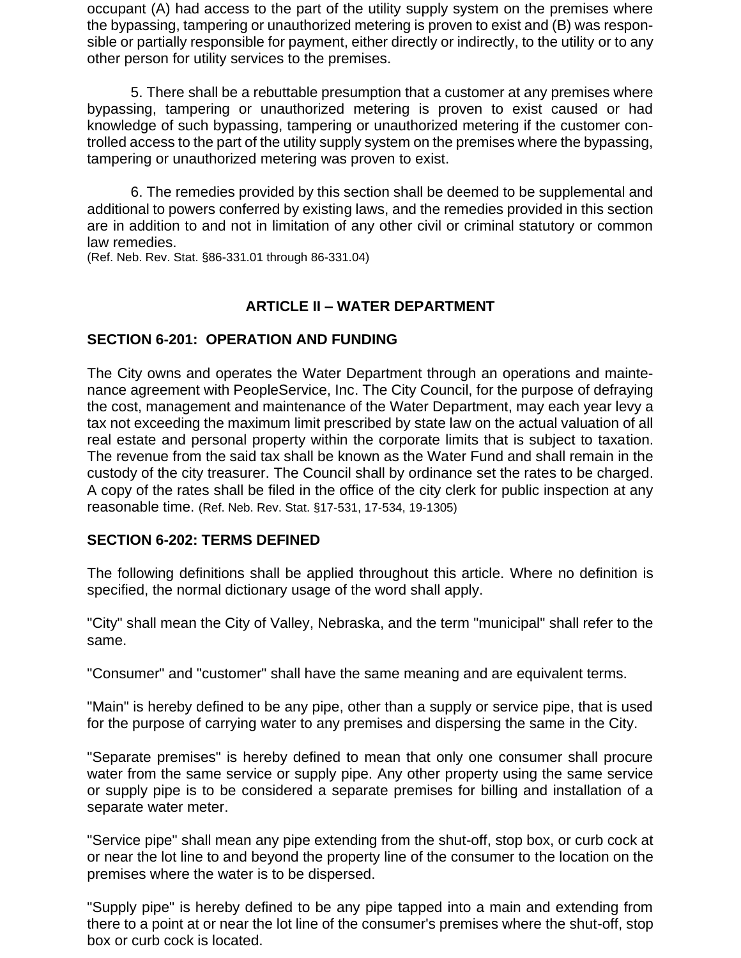occupant (A) had access to the part of the utility supply system on the premises where the bypassing, tampering or unauthorized metering is proven to exist and (B) was responsible or partially responsible for payment, either directly or indirectly, to the utility or to any other person for utility services to the premises.

5. There shall be a rebuttable presumption that a customer at any premises where bypassing, tampering or unauthorized metering is proven to exist caused or had knowledge of such bypassing, tampering or unauthorized metering if the customer controlled access to the part of the utility supply system on the premises where the bypassing, tampering or unauthorized metering was proven to exist.

6. The remedies provided by this section shall be deemed to be supplemental and additional to powers conferred by existing laws, and the remedies provided in this section are in addition to and not in limitation of any other civil or criminal statutory or common law remedies.

(Ref. Neb. Rev. Stat. §86-331.01 through 86-331.04)

## **ARTICLE II – WATER DEPARTMENT**

### **SECTION 6-201: OPERATION AND FUNDING**

The City owns and operates the Water Department through an operations and maintenance agreement with PeopleService, Inc. The City Council, for the purpose of defraying the cost, management and maintenance of the Water Department, may each year levy a tax not exceeding the maximum limit prescribed by state law on the actual valuation of all real estate and personal property within the corporate limits that is subject to taxation. The revenue from the said tax shall be known as the Water Fund and shall remain in the custody of the city treasurer. The Council shall by ordinance set the rates to be charged. A copy of the rates shall be filed in the office of the city clerk for public inspection at any reasonable time. (Ref. Neb. Rev. Stat. §17-531, 17-534, 19-1305)

### **SECTION 6-202: TERMS DEFINED**

The following definitions shall be applied throughout this article. Where no definition is specified, the normal dictionary usage of the word shall apply.

"City" shall mean the City of Valley, Nebraska, and the term "municipal" shall refer to the same.

"Consumer" and "customer" shall have the same meaning and are equivalent terms.

"Main" is hereby defined to be any pipe, other than a supply or service pipe, that is used for the purpose of carrying water to any premises and dispersing the same in the City.

"Separate premises" is hereby defined to mean that only one consumer shall procure water from the same service or supply pipe. Any other property using the same service or supply pipe is to be considered a separate premises for billing and installation of a separate water meter.

"Service pipe" shall mean any pipe extending from the shut-off, stop box, or curb cock at or near the lot line to and beyond the property line of the consumer to the location on the premises where the water is to be dispersed.

"Supply pipe" is hereby defined to be any pipe tapped into a main and extending from there to a point at or near the lot line of the consumer's premises where the shut-off, stop box or curb cock is located.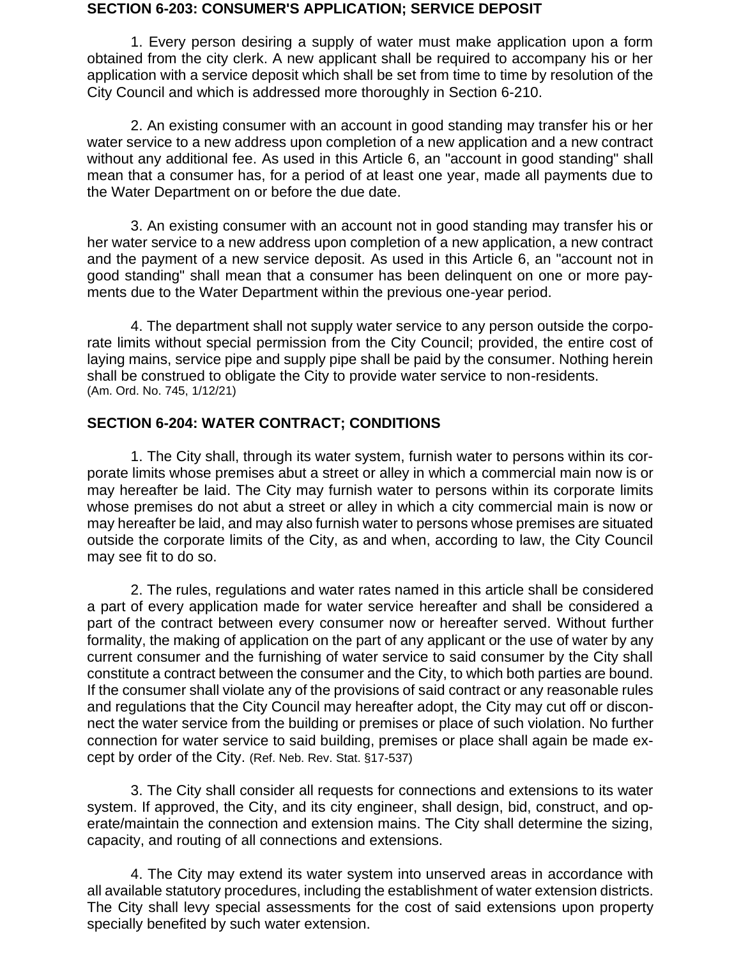#### **SECTION 6-203: CONSUMER'S APPLICATION; SERVICE DEPOSIT**

1. Every person desiring a supply of water must make application upon a form obtained from the city clerk. A new applicant shall be required to accompany his or her application with a service deposit which shall be set from time to time by resolution of the City Council and which is addressed more thoroughly in Section 6-210.

2. An existing consumer with an account in good standing may transfer his or her water service to a new address upon completion of a new application and a new contract without any additional fee. As used in this Article 6, an "account in good standing" shall mean that a consumer has, for a period of at least one year, made all payments due to the Water Department on or before the due date.

3. An existing consumer with an account not in good standing may transfer his or her water service to a new address upon completion of a new application, a new contract and the payment of a new service deposit. As used in this Article 6, an "account not in good standing" shall mean that a consumer has been delinquent on one or more payments due to the Water Department within the previous one-year period.

4. The department shall not supply water service to any person outside the corporate limits without special permission from the City Council; provided, the entire cost of laying mains, service pipe and supply pipe shall be paid by the consumer. Nothing herein shall be construed to obligate the City to provide water service to non-residents. (Am. Ord. No. 745, 1/12/21)

### **SECTION 6-204: WATER CONTRACT; CONDITIONS**

1. The City shall, through its water system, furnish water to persons within its corporate limits whose premises abut a street or alley in which a commercial main now is or may hereafter be laid. The City may furnish water to persons within its corporate limits whose premises do not abut a street or alley in which a city commercial main is now or may hereafter be laid, and may also furnish water to persons whose premises are situated outside the corporate limits of the City, as and when, according to law, the City Council may see fit to do so.

2. The rules, regulations and water rates named in this article shall be considered a part of every application made for water service hereafter and shall be considered a part of the contract between every consumer now or hereafter served. Without further formality, the making of application on the part of any applicant or the use of water by any current consumer and the furnishing of water service to said consumer by the City shall constitute a contract between the consumer and the City, to which both parties are bound. If the consumer shall violate any of the provisions of said contract or any reasonable rules and regulations that the City Council may hereafter adopt, the City may cut off or disconnect the water service from the building or premises or place of such violation. No further connection for water service to said building, premises or place shall again be made except by order of the City. (Ref. Neb. Rev. Stat. §17-537)

3. The City shall consider all requests for connections and extensions to its water system. If approved, the City, and its city engineer, shall design, bid, construct, and operate/maintain the connection and extension mains. The City shall determine the sizing, capacity, and routing of all connections and extensions.

4. The City may extend its water system into unserved areas in accordance with all available statutory procedures, including the establishment of water extension districts. The City shall levy special assessments for the cost of said extensions upon property specially benefited by such water extension.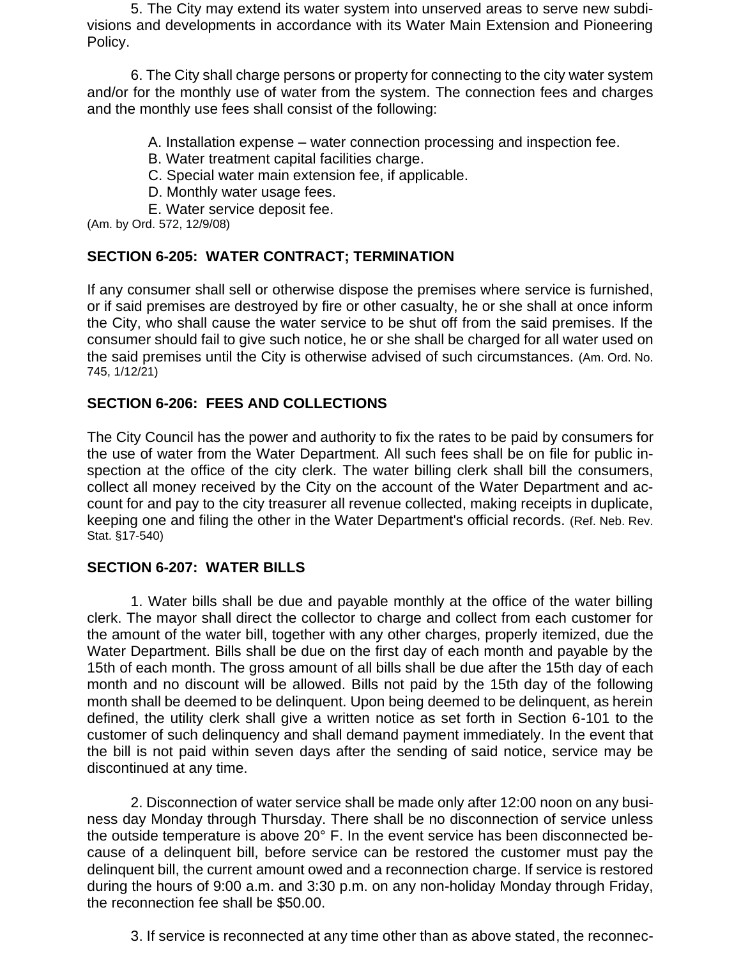5. The City may extend its water system into unserved areas to serve new subdivisions and developments in accordance with its Water Main Extension and Pioneering Policy.

6. The City shall charge persons or property for connecting to the city water system and/or for the monthly use of water from the system. The connection fees and charges and the monthly use fees shall consist of the following:

A. Installation expense – water connection processing and inspection fee.

- B. Water treatment capital facilities charge.
- C. Special water main extension fee, if applicable.
- D. Monthly water usage fees.
- E. Water service deposit fee.

(Am. by Ord. 572, 12/9/08)

### **SECTION 6-205: WATER CONTRACT; TERMINATION**

If any consumer shall sell or otherwise dispose the premises where service is furnished, or if said premises are destroyed by fire or other casualty, he or she shall at once inform the City, who shall cause the water service to be shut off from the said premises. If the consumer should fail to give such notice, he or she shall be charged for all water used on the said premises until the City is otherwise advised of such circumstances. (Am. Ord. No. 745, 1/12/21)

### **SECTION 6-206: FEES AND COLLECTIONS**

The City Council has the power and authority to fix the rates to be paid by consumers for the use of water from the Water Department. All such fees shall be on file for public inspection at the office of the city clerk. The water billing clerk shall bill the consumers, collect all money received by the City on the account of the Water Department and account for and pay to the city treasurer all revenue collected, making receipts in duplicate, keeping one and filing the other in the Water Department's official records. (Ref. Neb. Rev. Stat. §17-540)

### **SECTION 6-207: WATER BILLS**

1. Water bills shall be due and payable monthly at the office of the water billing clerk. The mayor shall direct the collector to charge and collect from each customer for the amount of the water bill, together with any other charges, properly itemized, due the Water Department. Bills shall be due on the first day of each month and payable by the 15th of each month. The gross amount of all bills shall be due after the 15th day of each month and no discount will be allowed. Bills not paid by the 15th day of the following month shall be deemed to be delinquent. Upon being deemed to be delinquent, as herein defined, the utility clerk shall give a written notice as set forth in Section 6-101 to the customer of such delinquency and shall demand payment immediately. In the event that the bill is not paid within seven days after the sending of said notice, service may be discontinued at any time.

2. Disconnection of water service shall be made only after 12:00 noon on any business day Monday through Thursday. There shall be no disconnection of service unless the outside temperature is above 20° F. In the event service has been disconnected because of a delinquent bill, before service can be restored the customer must pay the delinquent bill, the current amount owed and a reconnection charge. If service is restored during the hours of 9:00 a.m. and 3:30 p.m. on any non-holiday Monday through Friday, the reconnection fee shall be \$50.00.

3. If service is reconnected at any time other than as above stated, the reconnec-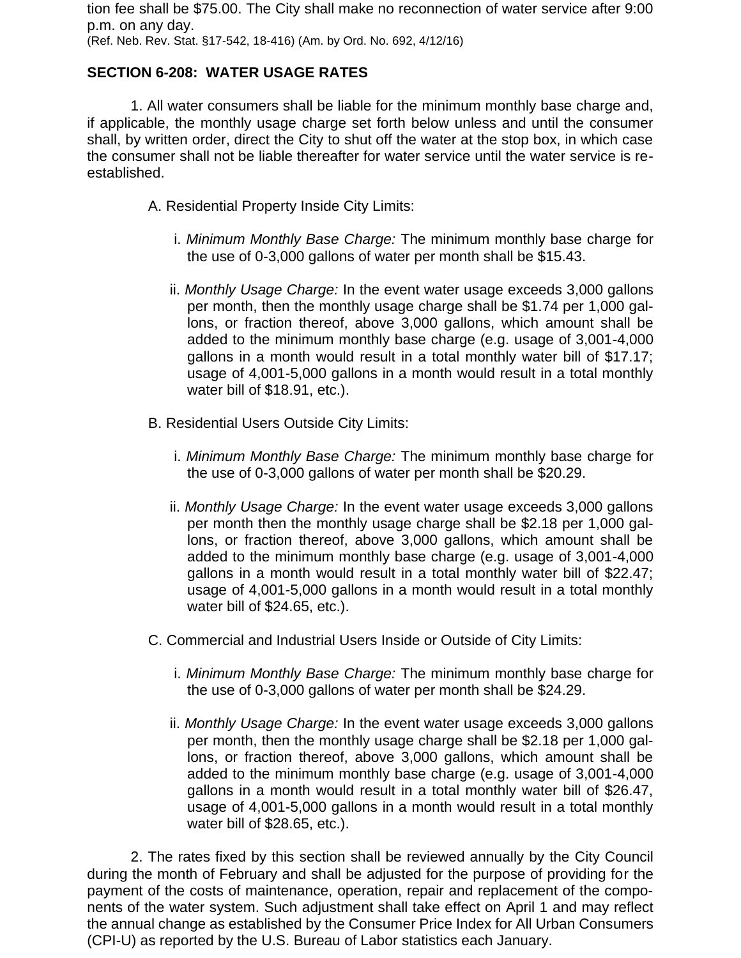tion fee shall be \$75.00. The City shall make no reconnection of water service after 9:00 p.m. on any day. (Ref. Neb. Rev. Stat. §17-542, 18-416) (Am. by Ord. No. 692, 4/12/16)

## **SECTION 6-208: WATER USAGE RATES**

1. All water consumers shall be liable for the minimum monthly base charge and, if applicable, the monthly usage charge set forth below unless and until the consumer shall, by written order, direct the City to shut off the water at the stop box, in which case the consumer shall not be liable thereafter for water service until the water service is reestablished.

A. Residential Property Inside City Limits:

- i. *Minimum Monthly Base Charge:* The minimum monthly base charge for the use of 0-3,000 gallons of water per month shall be \$15.43.
- ii. *Monthly Usage Charge:* In the event water usage exceeds 3,000 gallons per month, then the monthly usage charge shall be \$1.74 per 1,000 gallons, or fraction thereof, above 3,000 gallons, which amount shall be added to the minimum monthly base charge (e.g. usage of 3,001-4,000 gallons in a month would result in a total monthly water bill of \$17.17; usage of 4,001-5,000 gallons in a month would result in a total monthly water bill of \$18.91, etc.).
- B. Residential Users Outside City Limits:
	- i. *Minimum Monthly Base Charge:* The minimum monthly base charge for the use of 0-3,000 gallons of water per month shall be \$20.29.
	- ii. *Monthly Usage Charge:* In the event water usage exceeds 3,000 gallons per month then the monthly usage charge shall be \$2.18 per 1,000 gallons, or fraction thereof, above 3,000 gallons, which amount shall be added to the minimum monthly base charge (e.g. usage of 3,001-4,000 gallons in a month would result in a total monthly water bill of \$22.47; usage of 4,001-5,000 gallons in a month would result in a total monthly water bill of \$24.65, etc.).
- C. Commercial and Industrial Users Inside or Outside of City Limits:
	- i. *Minimum Monthly Base Charge:* The minimum monthly base charge for the use of 0-3,000 gallons of water per month shall be \$24.29.
	- ii. *Monthly Usage Charge:* In the event water usage exceeds 3,000 gallons per month, then the monthly usage charge shall be \$2.18 per 1,000 gallons, or fraction thereof, above 3,000 gallons, which amount shall be added to the minimum monthly base charge (e.g. usage of 3,001-4,000 gallons in a month would result in a total monthly water bill of \$26.47, usage of 4,001-5,000 gallons in a month would result in a total monthly water bill of \$28.65, etc.).

2. The rates fixed by this section shall be reviewed annually by the City Council during the month of February and shall be adjusted for the purpose of providing for the payment of the costs of maintenance, operation, repair and replacement of the components of the water system. Such adjustment shall take effect on April 1 and may reflect the annual change as established by the Consumer Price Index for All Urban Consumers (CPI-U) as reported by the U.S. Bureau of Labor statistics each January.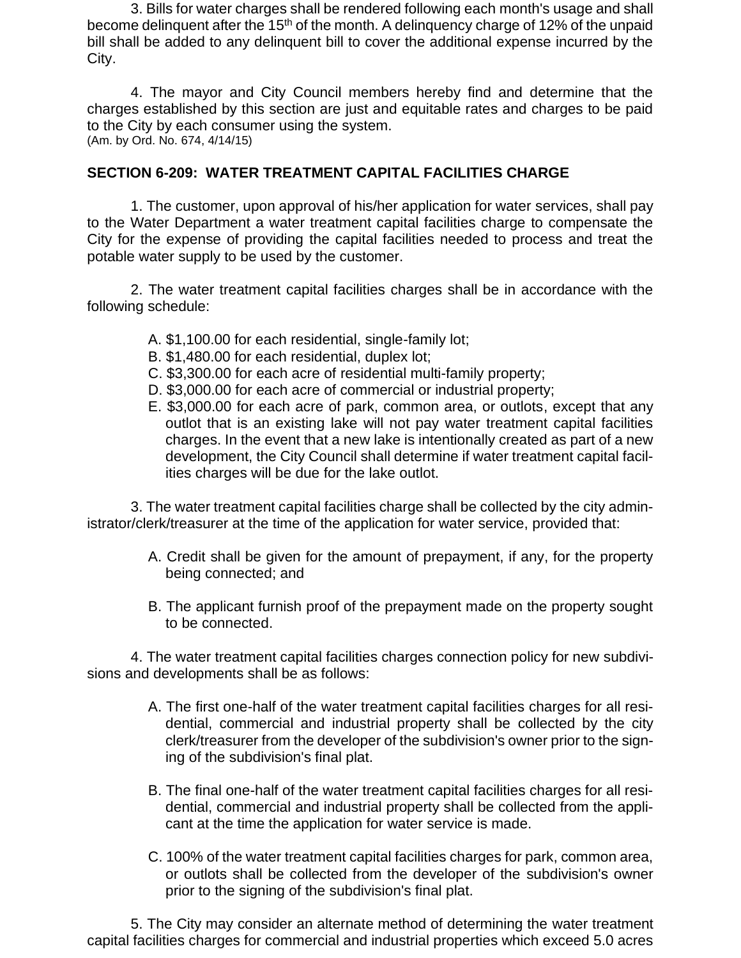3. Bills for water charges shall be rendered following each month's usage and shall become delinquent after the 15<sup>th</sup> of the month. A delinquency charge of 12% of the unpaid bill shall be added to any delinquent bill to cover the additional expense incurred by the City.

4. The mayor and City Council members hereby find and determine that the charges established by this section are just and equitable rates and charges to be paid to the City by each consumer using the system. (Am. by Ord. No. 674, 4/14/15)

#### **SECTION 6-209: WATER TREATMENT CAPITAL FACILITIES CHARGE**

1. The customer, upon approval of his/her application for water services, shall pay to the Water Department a water treatment capital facilities charge to compensate the City for the expense of providing the capital facilities needed to process and treat the potable water supply to be used by the customer.

2. The water treatment capital facilities charges shall be in accordance with the following schedule:

- A. \$1,100.00 for each residential, single-family lot;
- B. \$1,480.00 for each residential, duplex lot;
- C. \$3,300.00 for each acre of residential multi-family property;
- D. \$3,000.00 for each acre of commercial or industrial property;
- E. \$3,000.00 for each acre of park, common area, or outlots, except that any outlot that is an existing lake will not pay water treatment capital facilities charges. In the event that a new lake is intentionally created as part of a new development, the City Council shall determine if water treatment capital facilities charges will be due for the lake outlot.

3. The water treatment capital facilities charge shall be collected by the city administrator/clerk/treasurer at the time of the application for water service, provided that:

- A. Credit shall be given for the amount of prepayment, if any, for the property being connected; and
- B. The applicant furnish proof of the prepayment made on the property sought to be connected.

4. The water treatment capital facilities charges connection policy for new subdivisions and developments shall be as follows:

- A. The first one-half of the water treatment capital facilities charges for all residential, commercial and industrial property shall be collected by the city clerk/treasurer from the developer of the subdivision's owner prior to the signing of the subdivision's final plat.
- B. The final one-half of the water treatment capital facilities charges for all residential, commercial and industrial property shall be collected from the applicant at the time the application for water service is made.
- C. 100% of the water treatment capital facilities charges for park, common area, or outlots shall be collected from the developer of the subdivision's owner prior to the signing of the subdivision's final plat.

5. The City may consider an alternate method of determining the water treatment capital facilities charges for commercial and industrial properties which exceed 5.0 acres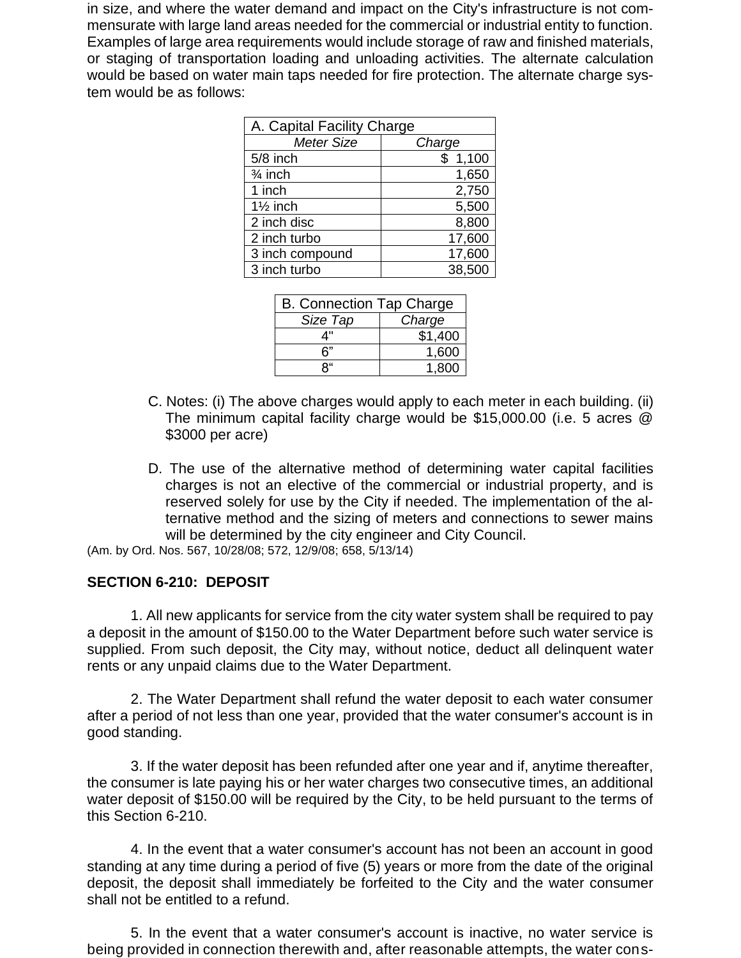in size, and where the water demand and impact on the City's infrastructure is not commensurate with large land areas needed for the commercial or industrial entity to function. Examples of large area requirements would include storage of raw and finished materials, or staging of transportation loading and unloading activities. The alternate calculation would be based on water main taps needed for fire protection. The alternate charge system would be as follows:

| A. Capital Facility Charge |         |  |
|----------------------------|---------|--|
| <b>Meter Size</b>          | Charge  |  |
| 5/8 inch                   | \$1,100 |  |
| $\frac{3}{4}$ inch         | 1,650   |  |
| 1 inch                     | 2,750   |  |
| $1\frac{1}{2}$ inch        | 5,500   |  |
| 2 inch disc                | 8,800   |  |
| 2 inch turbo               | 17,600  |  |
| 3 inch compound            | 17,600  |  |
| 3 inch turbo               | 38,500  |  |

| <b>B. Connection Tap Charge</b> |         |
|---------------------------------|---------|
| Size Tap                        | Charge  |
| 4"                              | \$1,400 |
| 6"                              | 1,600   |
| ۹"                              | 1.800   |

- C. Notes: (i) The above charges would apply to each meter in each building. (ii) The minimum capital facility charge would be \$15,000.00 (i.e. 5 acres @ \$3000 per acre)
- D. The use of the alternative method of determining water capital facilities charges is not an elective of the commercial or industrial property, and is reserved solely for use by the City if needed. The implementation of the alternative method and the sizing of meters and connections to sewer mains will be determined by the city engineer and City Council.

(Am. by Ord. Nos. 567, 10/28/08; 572, 12/9/08; 658, 5/13/14)

### **SECTION 6-210: DEPOSIT**

1. All new applicants for service from the city water system shall be required to pay a deposit in the amount of \$150.00 to the Water Department before such water service is supplied. From such deposit, the City may, without notice, deduct all delinquent water rents or any unpaid claims due to the Water Department.

2. The Water Department shall refund the water deposit to each water consumer after a period of not less than one year, provided that the water consumer's account is in good standing.

3. If the water deposit has been refunded after one year and if, anytime thereafter, the consumer is late paying his or her water charges two consecutive times, an additional water deposit of \$150.00 will be required by the City, to be held pursuant to the terms of this Section 6-210.

4. In the event that a water consumer's account has not been an account in good standing at any time during a period of five (5) years or more from the date of the original deposit, the deposit shall immediately be forfeited to the City and the water consumer shall not be entitled to a refund.

5. In the event that a water consumer's account is inactive, no water service is being provided in connection therewith and, after reasonable attempts, the water cons-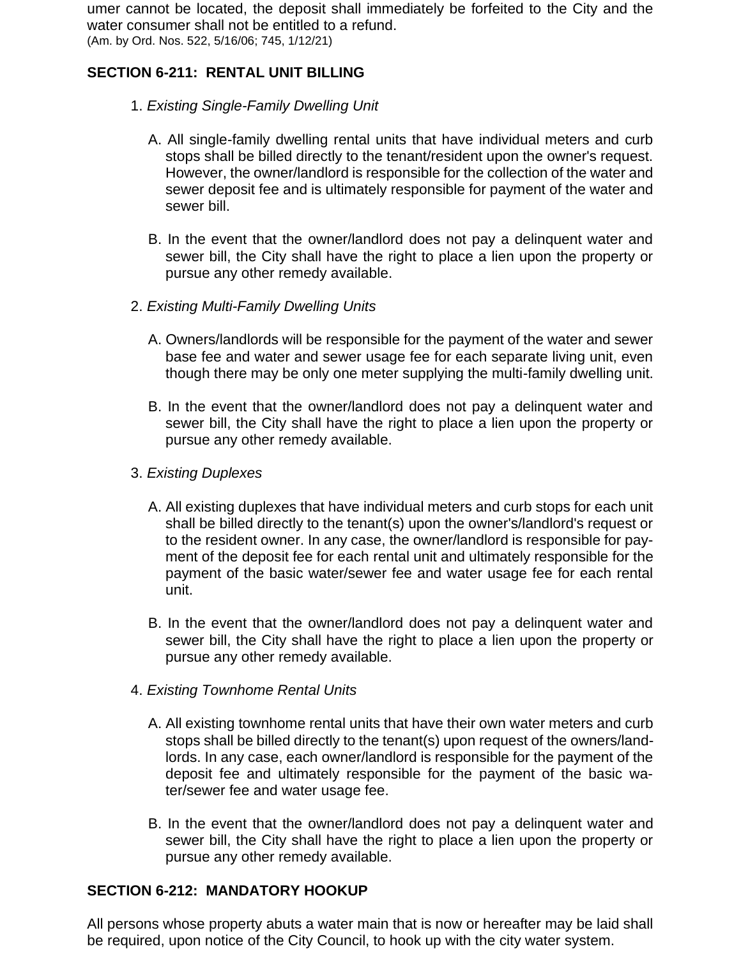umer cannot be located, the deposit shall immediately be forfeited to the City and the water consumer shall not be entitled to a refund. (Am. by Ord. Nos. 522, 5/16/06; 745, 1/12/21)

## **SECTION 6-211: RENTAL UNIT BILLING**

- 1. *Existing Single-Family Dwelling Unit*
	- A. All single-family dwelling rental units that have individual meters and curb stops shall be billed directly to the tenant/resident upon the owner's request. However, the owner/landlord is responsible for the collection of the water and sewer deposit fee and is ultimately responsible for payment of the water and sewer bill.
	- B. In the event that the owner/landlord does not pay a delinquent water and sewer bill, the City shall have the right to place a lien upon the property or pursue any other remedy available.
- 2. *Existing Multi-Family Dwelling Units*
	- A. Owners/landlords will be responsible for the payment of the water and sewer base fee and water and sewer usage fee for each separate living unit, even though there may be only one meter supplying the multi-family dwelling unit.
	- B. In the event that the owner/landlord does not pay a delinquent water and sewer bill, the City shall have the right to place a lien upon the property or pursue any other remedy available.
- 3. *Existing Duplexes*
	- A. All existing duplexes that have individual meters and curb stops for each unit shall be billed directly to the tenant(s) upon the owner's/landlord's request or to the resident owner. In any case, the owner/landlord is responsible for payment of the deposit fee for each rental unit and ultimately responsible for the payment of the basic water/sewer fee and water usage fee for each rental unit.
	- B. In the event that the owner/landlord does not pay a delinquent water and sewer bill, the City shall have the right to place a lien upon the property or pursue any other remedy available.
- 4. *Existing Townhome Rental Units*
	- A. All existing townhome rental units that have their own water meters and curb stops shall be billed directly to the tenant(s) upon request of the owners/landlords. In any case, each owner/landlord is responsible for the payment of the deposit fee and ultimately responsible for the payment of the basic water/sewer fee and water usage fee.
	- B. In the event that the owner/landlord does not pay a delinquent water and sewer bill, the City shall have the right to place a lien upon the property or pursue any other remedy available.

### **SECTION 6-212: MANDATORY HOOKUP**

All persons whose property abuts a water main that is now or hereafter may be laid shall be required, upon notice of the City Council, to hook up with the city water system.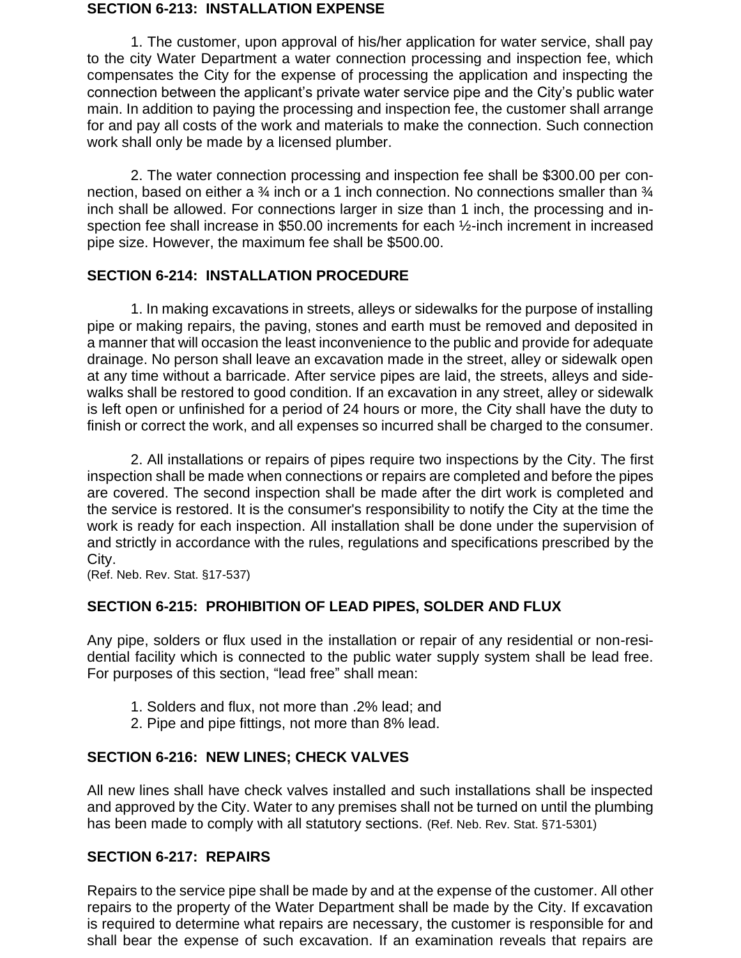#### **SECTION 6-213: INSTALLATION EXPENSE**

1. The customer, upon approval of his/her application for water service, shall pay to the city Water Department a water connection processing and inspection fee, which compensates the City for the expense of processing the application and inspecting the connection between the applicant's private water service pipe and the City's public water main. In addition to paying the processing and inspection fee, the customer shall arrange for and pay all costs of the work and materials to make the connection. Such connection work shall only be made by a licensed plumber.

2. The water connection processing and inspection fee shall be \$300.00 per connection, based on either a <sup>3</sup>/<sub>4</sub> inch or a 1 inch connection. No connections smaller than <sup>3</sup>/<sub>4</sub> inch shall be allowed. For connections larger in size than 1 inch, the processing and inspection fee shall increase in \$50.00 increments for each 1/2-inch increment in increased pipe size. However, the maximum fee shall be \$500.00.

### **SECTION 6-214: INSTALLATION PROCEDURE**

1. In making excavations in streets, alleys or sidewalks for the purpose of installing pipe or making repairs, the paving, stones and earth must be removed and deposited in a manner that will occasion the least inconvenience to the public and provide for adequate drainage. No person shall leave an excavation made in the street, alley or sidewalk open at any time without a barricade. After service pipes are laid, the streets, alleys and sidewalks shall be restored to good condition. If an excavation in any street, alley or sidewalk is left open or unfinished for a period of 24 hours or more, the City shall have the duty to finish or correct the work, and all expenses so incurred shall be charged to the consumer.

2. All installations or repairs of pipes require two inspections by the City. The first inspection shall be made when connections or repairs are completed and before the pipes are covered. The second inspection shall be made after the dirt work is completed and the service is restored. It is the consumer's responsibility to notify the City at the time the work is ready for each inspection. All installation shall be done under the supervision of and strictly in accordance with the rules, regulations and specifications prescribed by the City.

(Ref. Neb. Rev. Stat. §17-537)

### **SECTION 6-215: PROHIBITION OF LEAD PIPES, SOLDER AND FLUX**

Any pipe, solders or flux used in the installation or repair of any residential or non-residential facility which is connected to the public water supply system shall be lead free. For purposes of this section, "lead free" shall mean:

- 1. Solders and flux, not more than .2% lead; and
- 2. Pipe and pipe fittings, not more than 8% lead.

### **SECTION 6-216: NEW LINES; CHECK VALVES**

All new lines shall have check valves installed and such installations shall be inspected and approved by the City. Water to any premises shall not be turned on until the plumbing has been made to comply with all statutory sections. (Ref. Neb. Rev. Stat. §71-5301)

#### **SECTION 6-217: REPAIRS**

Repairs to the service pipe shall be made by and at the expense of the customer. All other repairs to the property of the Water Department shall be made by the City. If excavation is required to determine what repairs are necessary, the customer is responsible for and shall bear the expense of such excavation. If an examination reveals that repairs are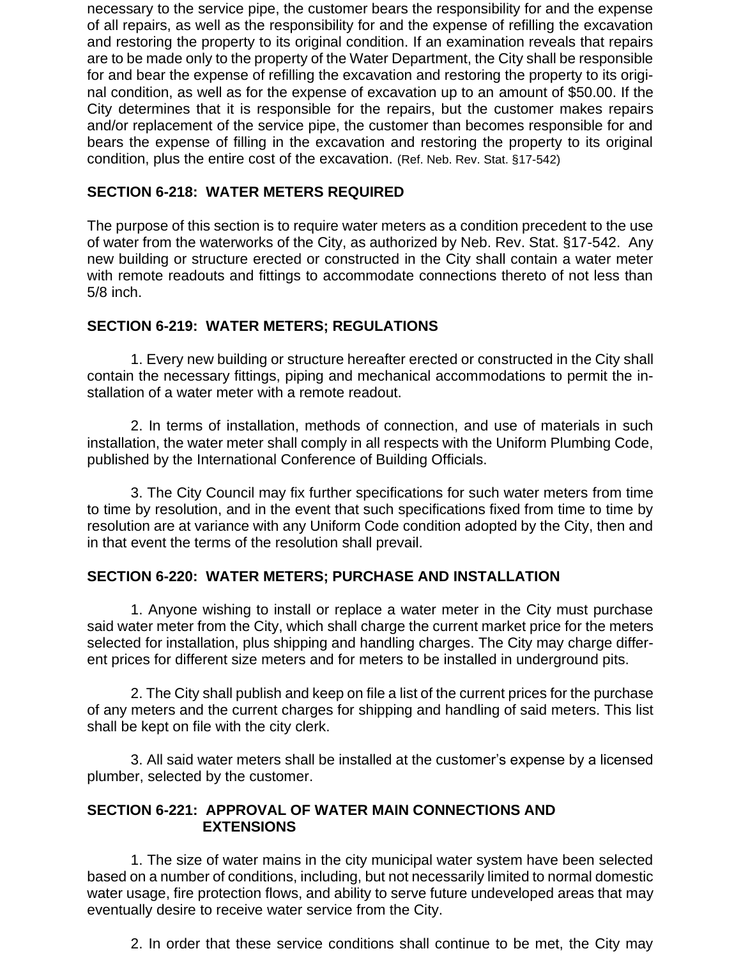necessary to the service pipe, the customer bears the responsibility for and the expense of all repairs, as well as the responsibility for and the expense of refilling the excavation and restoring the property to its original condition. If an examination reveals that repairs are to be made only to the property of the Water Department, the City shall be responsible for and bear the expense of refilling the excavation and restoring the property to its original condition, as well as for the expense of excavation up to an amount of \$50.00. If the City determines that it is responsible for the repairs, but the customer makes repairs and/or replacement of the service pipe, the customer than becomes responsible for and bears the expense of filling in the excavation and restoring the property to its original condition, plus the entire cost of the excavation. (Ref. Neb. Rev. Stat. §17-542)

## **SECTION 6-218: WATER METERS REQUIRED**

The purpose of this section is to require water meters as a condition precedent to the use of water from the waterworks of the City, as authorized by Neb. Rev. Stat. §17-542. Any new building or structure erected or constructed in the City shall contain a water meter with remote readouts and fittings to accommodate connections thereto of not less than 5/8 inch.

### **SECTION 6-219: WATER METERS; REGULATIONS**

1. Every new building or structure hereafter erected or constructed in the City shall contain the necessary fittings, piping and mechanical accommodations to permit the installation of a water meter with a remote readout.

2. In terms of installation, methods of connection, and use of materials in such installation, the water meter shall comply in all respects with the Uniform Plumbing Code, published by the International Conference of Building Officials.

3. The City Council may fix further specifications for such water meters from time to time by resolution, and in the event that such specifications fixed from time to time by resolution are at variance with any Uniform Code condition adopted by the City, then and in that event the terms of the resolution shall prevail.

### **SECTION 6-220: WATER METERS; PURCHASE AND INSTALLATION**

1. Anyone wishing to install or replace a water meter in the City must purchase said water meter from the City, which shall charge the current market price for the meters selected for installation, plus shipping and handling charges. The City may charge different prices for different size meters and for meters to be installed in underground pits.

2. The City shall publish and keep on file a list of the current prices for the purchase of any meters and the current charges for shipping and handling of said meters. This list shall be kept on file with the city clerk.

3. All said water meters shall be installed at the customer's expense by a licensed plumber, selected by the customer.

### **SECTION 6-221: APPROVAL OF WATER MAIN CONNECTIONS AND EXTENSIONS**

1. The size of water mains in the city municipal water system have been selected based on a number of conditions, including, but not necessarily limited to normal domestic water usage, fire protection flows, and ability to serve future undeveloped areas that may eventually desire to receive water service from the City.

2. In order that these service conditions shall continue to be met, the City may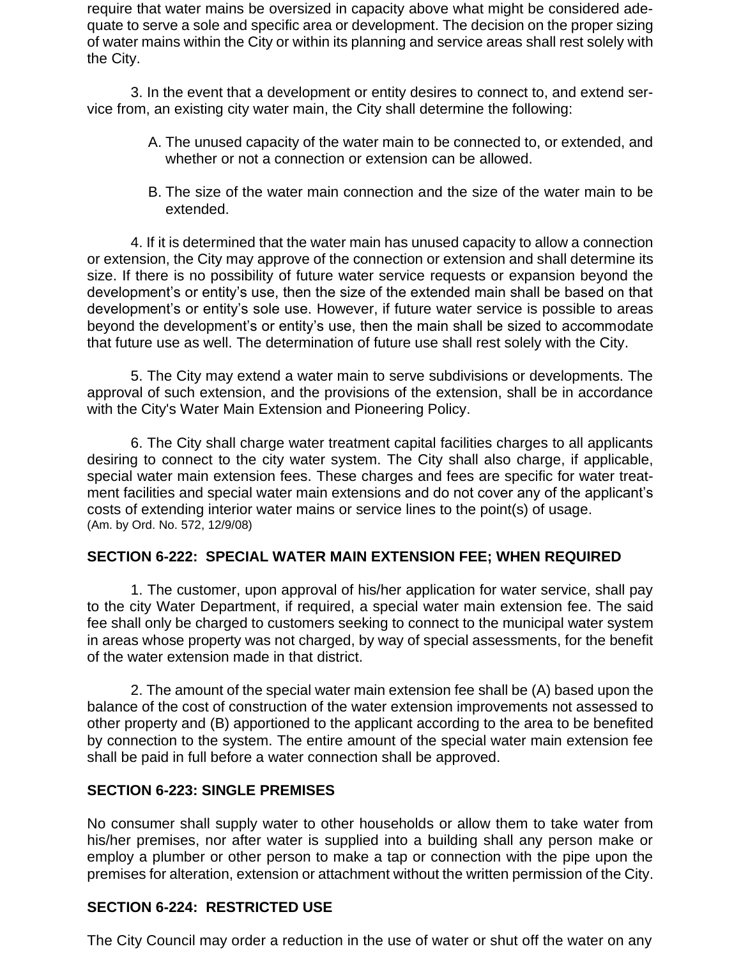require that water mains be oversized in capacity above what might be considered adequate to serve a sole and specific area or development. The decision on the proper sizing of water mains within the City or within its planning and service areas shall rest solely with the City.

3. In the event that a development or entity desires to connect to, and extend service from, an existing city water main, the City shall determine the following:

- A. The unused capacity of the water main to be connected to, or extended, and whether or not a connection or extension can be allowed.
- B. The size of the water main connection and the size of the water main to be extended.

4. If it is determined that the water main has unused capacity to allow a connection or extension, the City may approve of the connection or extension and shall determine its size. If there is no possibility of future water service requests or expansion beyond the development's or entity's use, then the size of the extended main shall be based on that development's or entity's sole use. However, if future water service is possible to areas beyond the development's or entity's use, then the main shall be sized to accommodate that future use as well. The determination of future use shall rest solely with the City.

5. The City may extend a water main to serve subdivisions or developments. The approval of such extension, and the provisions of the extension, shall be in accordance with the City's Water Main Extension and Pioneering Policy.

6. The City shall charge water treatment capital facilities charges to all applicants desiring to connect to the city water system. The City shall also charge, if applicable, special water main extension fees. These charges and fees are specific for water treatment facilities and special water main extensions and do not cover any of the applicant's costs of extending interior water mains or service lines to the point(s) of usage. (Am. by Ord. No. 572, 12/9/08)

### **SECTION 6-222: SPECIAL WATER MAIN EXTENSION FEE; WHEN REQUIRED**

1. The customer, upon approval of his/her application for water service, shall pay to the city Water Department, if required, a special water main extension fee. The said fee shall only be charged to customers seeking to connect to the municipal water system in areas whose property was not charged, by way of special assessments, for the benefit of the water extension made in that district.

2. The amount of the special water main extension fee shall be (A) based upon the balance of the cost of construction of the water extension improvements not assessed to other property and (B) apportioned to the applicant according to the area to be benefited by connection to the system. The entire amount of the special water main extension fee shall be paid in full before a water connection shall be approved.

### **SECTION 6-223: SINGLE PREMISES**

No consumer shall supply water to other households or allow them to take water from his/her premises, nor after water is supplied into a building shall any person make or employ a plumber or other person to make a tap or connection with the pipe upon the premises for alteration, extension or attachment without the written permission of the City.

## **SECTION 6-224: RESTRICTED USE**

The City Council may order a reduction in the use of water or shut off the water on any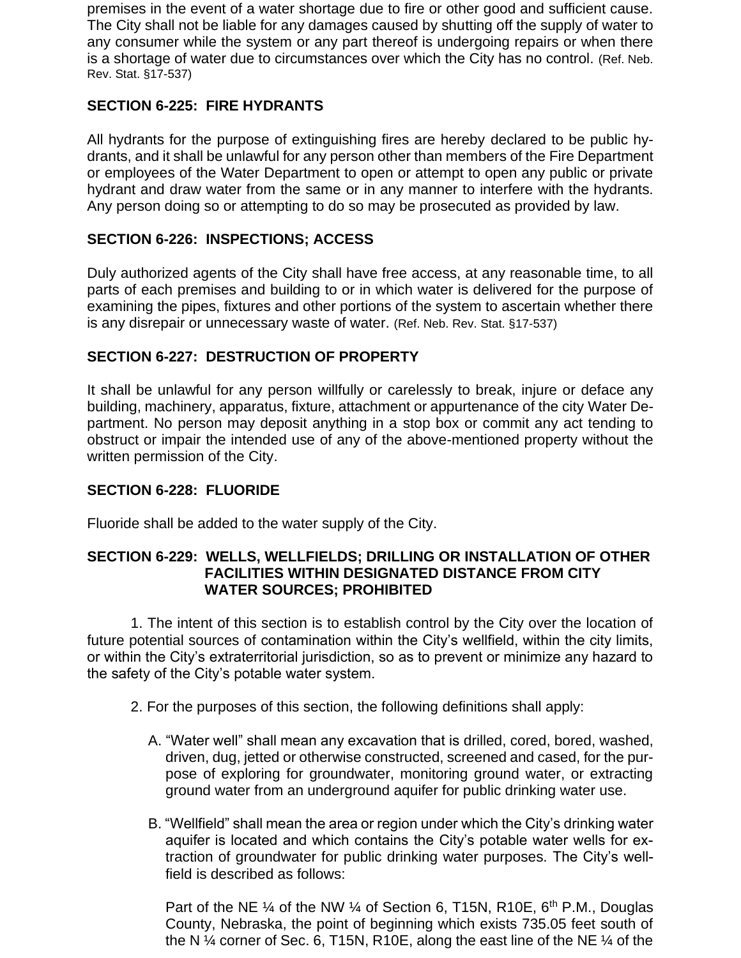premises in the event of a water shortage due to fire or other good and sufficient cause. The City shall not be liable for any damages caused by shutting off the supply of water to any consumer while the system or any part thereof is undergoing repairs or when there is a shortage of water due to circumstances over which the City has no control. (Ref. Neb. Rev. Stat. §17-537)

## **SECTION 6-225: FIRE HYDRANTS**

All hydrants for the purpose of extinguishing fires are hereby declared to be public hydrants, and it shall be unlawful for any person other than members of the Fire Department or employees of the Water Department to open or attempt to open any public or private hydrant and draw water from the same or in any manner to interfere with the hydrants. Any person doing so or attempting to do so may be prosecuted as provided by law.

### **SECTION 6-226: INSPECTIONS; ACCESS**

Duly authorized agents of the City shall have free access, at any reasonable time, to all parts of each premises and building to or in which water is delivered for the purpose of examining the pipes, fixtures and other portions of the system to ascertain whether there is any disrepair or unnecessary waste of water. (Ref. Neb. Rev. Stat. §17-537)

### **SECTION 6-227: DESTRUCTION OF PROPERTY**

It shall be unlawful for any person willfully or carelessly to break, injure or deface any building, machinery, apparatus, fixture, attachment or appurtenance of the city Water Department. No person may deposit anything in a stop box or commit any act tending to obstruct or impair the intended use of any of the above-mentioned property without the written permission of the City.

### **SECTION 6-228: FLUORIDE**

Fluoride shall be added to the water supply of the City.

### **SECTION 6-229: WELLS, WELLFIELDS; DRILLING OR INSTALLATION OF OTHER FACILITIES WITHIN DESIGNATED DISTANCE FROM CITY WATER SOURCES; PROHIBITED**

1. The intent of this section is to establish control by the City over the location of future potential sources of contamination within the City's wellfield, within the city limits, or within the City's extraterritorial jurisdiction, so as to prevent or minimize any hazard to the safety of the City's potable water system.

- 2. For the purposes of this section, the following definitions shall apply:
	- A. "Water well" shall mean any excavation that is drilled, cored, bored, washed, driven, dug, jetted or otherwise constructed, screened and cased, for the purpose of exploring for groundwater, monitoring ground water, or extracting ground water from an underground aquifer for public drinking water use.
	- B. "Wellfield" shall mean the area or region under which the City's drinking water aquifer is located and which contains the City's potable water wells for extraction of groundwater for public drinking water purposes. The City's wellfield is described as follows:

Part of the NE  $\frac{1}{4}$  of the NW  $\frac{1}{4}$  of Section 6, T15N, R10E, 6<sup>th</sup> P.M., Douglas County, Nebraska, the point of beginning which exists 735.05 feet south of the N ¼ corner of Sec. 6, T15N, R10E, along the east line of the NE ¼ of the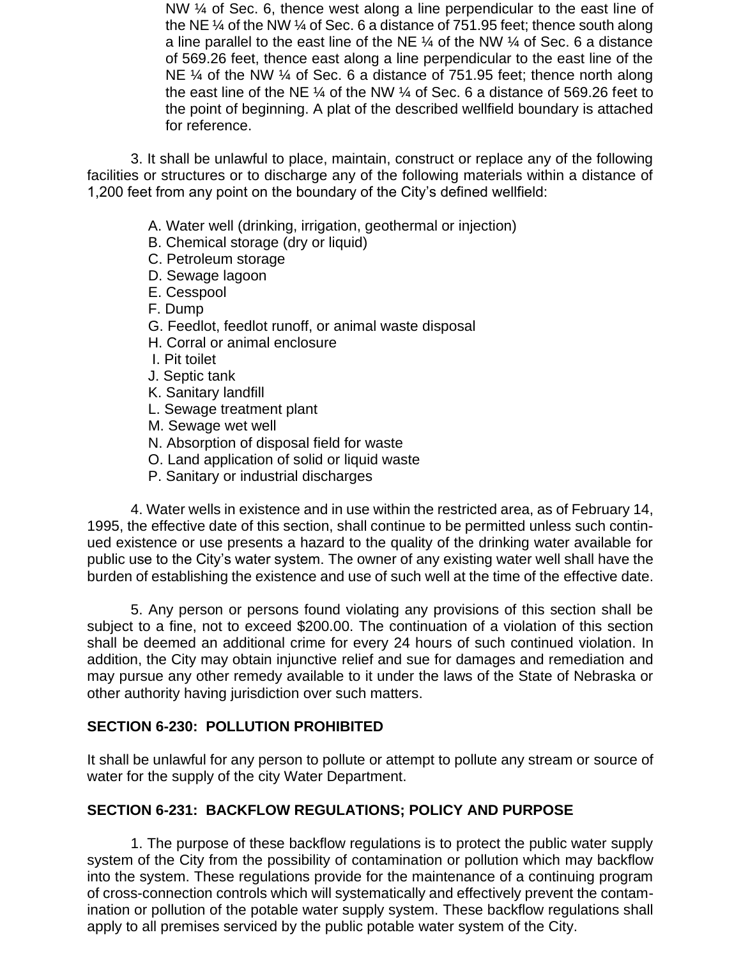NW % of Sec. 6, thence west along a line perpendicular to the east line of the NE ¼ of the NW ¼ of Sec. 6 a distance of 751.95 feet; thence south along a line parallel to the east line of the NE  $\frac{1}{4}$  of the NW  $\frac{1}{4}$  of Sec. 6 a distance of 569.26 feet, thence east along a line perpendicular to the east line of the NE  $\frac{1}{4}$  of the NW  $\frac{1}{4}$  of Sec. 6 a distance of 751.95 feet; thence north along the east line of the NE ¼ of the NW ¼ of Sec. 6 a distance of 569.26 feet to the point of beginning. A plat of the described wellfield boundary is attached for reference.

3. It shall be unlawful to place, maintain, construct or replace any of the following facilities or structures or to discharge any of the following materials within a distance of 1,200 feet from any point on the boundary of the City's defined wellfield:

- A. Water well (drinking, irrigation, geothermal or injection)
- B. Chemical storage (dry or liquid)
- C. Petroleum storage
- D. Sewage lagoon
- E. Cesspool
- F. Dump
- G. Feedlot, feedlot runoff, or animal waste disposal
- H. Corral or animal enclosure
- I. Pit toilet
- J. Septic tank
- K. Sanitary landfill
- L. Sewage treatment plant
- M. Sewage wet well
- N. Absorption of disposal field for waste
- O. Land application of solid or liquid waste
- P. Sanitary or industrial discharges

4. Water wells in existence and in use within the restricted area, as of February 14, 1995, the effective date of this section, shall continue to be permitted unless such continued existence or use presents a hazard to the quality of the drinking water available for public use to the City's water system. The owner of any existing water well shall have the burden of establishing the existence and use of such well at the time of the effective date.

5. Any person or persons found violating any provisions of this section shall be subject to a fine, not to exceed \$200.00. The continuation of a violation of this section shall be deemed an additional crime for every 24 hours of such continued violation. In addition, the City may obtain injunctive relief and sue for damages and remediation and may pursue any other remedy available to it under the laws of the State of Nebraska or other authority having jurisdiction over such matters.

### **SECTION 6-230: POLLUTION PROHIBITED**

It shall be unlawful for any person to pollute or attempt to pollute any stream or source of water for the supply of the city Water Department.

### **SECTION 6-231: BACKFLOW REGULATIONS; POLICY AND PURPOSE**

1. The purpose of these backflow regulations is to protect the public water supply system of the City from the possibility of contamination or pollution which may backflow into the system. These regulations provide for the maintenance of a continuing program of cross-connection controls which will systematically and effectively prevent the contamination or pollution of the potable water supply system. These backflow regulations shall apply to all premises serviced by the public potable water system of the City.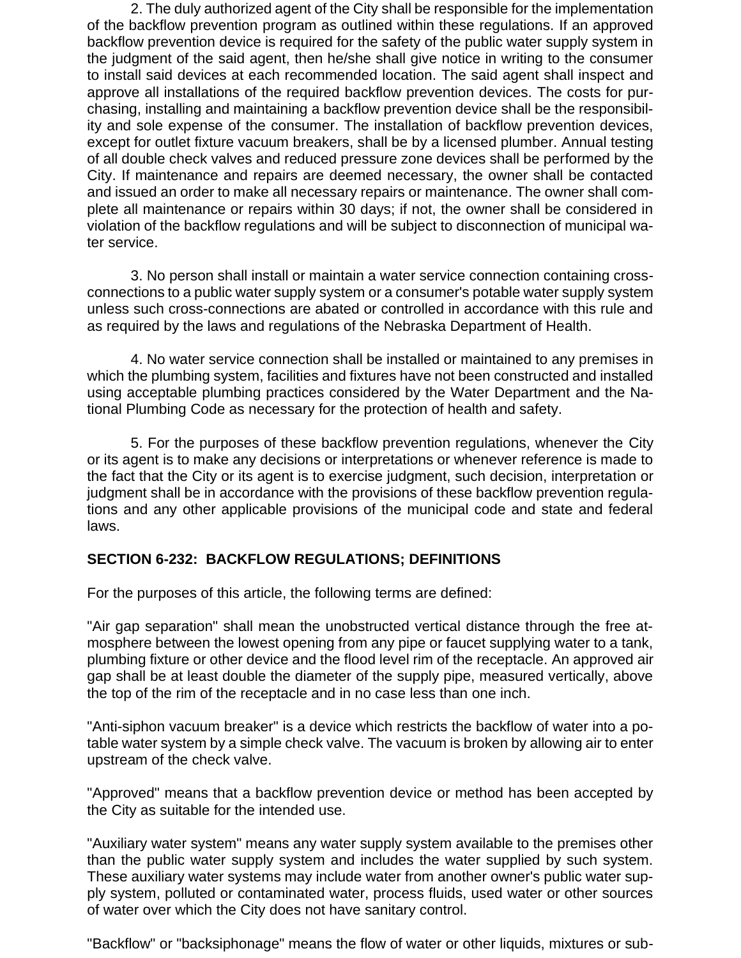2. The duly authorized agent of the City shall be responsible for the implementation of the backflow prevention program as outlined within these regulations. If an approved backflow prevention device is required for the safety of the public water supply system in the judgment of the said agent, then he/she shall give notice in writing to the consumer to install said devices at each recommended location. The said agent shall inspect and approve all installations of the required backflow prevention devices. The costs for purchasing, installing and maintaining a backflow prevention device shall be the responsibility and sole expense of the consumer. The installation of backflow prevention devices, except for outlet fixture vacuum breakers, shall be by a licensed plumber. Annual testing of all double check valves and reduced pressure zone devices shall be performed by the City. If maintenance and repairs are deemed necessary, the owner shall be contacted and issued an order to make all necessary repairs or maintenance. The owner shall complete all maintenance or repairs within 30 days; if not, the owner shall be considered in violation of the backflow regulations and will be subject to disconnection of municipal water service.

3. No person shall install or maintain a water service connection containing crossconnections to a public water supply system or a consumer's potable water supply system unless such cross-connections are abated or controlled in accordance with this rule and as required by the laws and regulations of the Nebraska Department of Health.

4. No water service connection shall be installed or maintained to any premises in which the plumbing system, facilities and fixtures have not been constructed and installed using acceptable plumbing practices considered by the Water Department and the National Plumbing Code as necessary for the protection of health and safety.

5. For the purposes of these backflow prevention regulations, whenever the City or its agent is to make any decisions or interpretations or whenever reference is made to the fact that the City or its agent is to exercise judgment, such decision, interpretation or judgment shall be in accordance with the provisions of these backflow prevention regulations and any other applicable provisions of the municipal code and state and federal laws.

### **SECTION 6-232: BACKFLOW REGULATIONS; DEFINITIONS**

For the purposes of this article, the following terms are defined:

"Air gap separation" shall mean the unobstructed vertical distance through the free atmosphere between the lowest opening from any pipe or faucet supplying water to a tank, plumbing fixture or other device and the flood level rim of the receptacle. An approved air gap shall be at least double the diameter of the supply pipe, measured vertically, above the top of the rim of the receptacle and in no case less than one inch.

"Anti-siphon vacuum breaker" is a device which restricts the backflow of water into a potable water system by a simple check valve. The vacuum is broken by allowing air to enter upstream of the check valve.

"Approved" means that a backflow prevention device or method has been accepted by the City as suitable for the intended use.

"Auxiliary water system" means any water supply system available to the premises other than the public water supply system and includes the water supplied by such system. These auxiliary water systems may include water from another owner's public water supply system, polluted or contaminated water, process fluids, used water or other sources of water over which the City does not have sanitary control.

"Backflow" or "backsiphonage" means the flow of water or other liquids, mixtures or sub-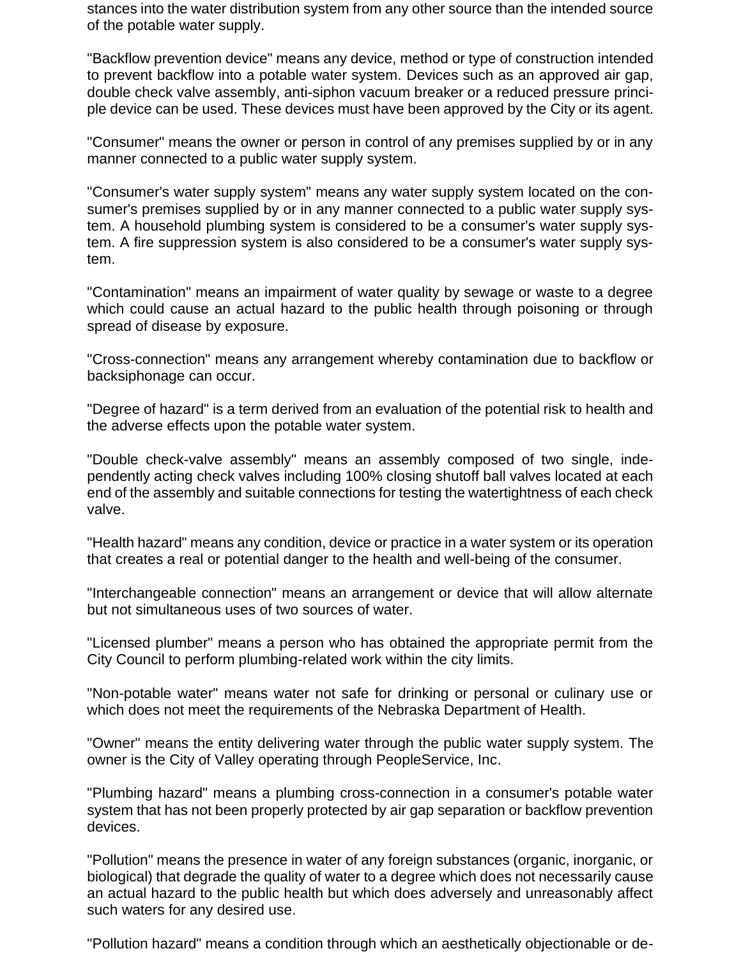stances into the water distribution system from any other source than the intended source of the potable water supply.

"Backflow prevention device" means any device, method or type of construction intended to prevent backflow into a potable water system. Devices such as an approved air gap, double check valve assembly, anti-siphon vacuum breaker or a reduced pressure principle device can be used. These devices must have been approved by the City or its agent.

"Consumer" means the owner or person in control of any premises supplied by or in any manner connected to a public water supply system.

"Consumer's water supply system" means any water supply system located on the consumer's premises supplied by or in any manner connected to a public water supply system. A household plumbing system is considered to be a consumer's water supply system. A fire suppression system is also considered to be a consumer's water supply system.

"Contamination" means an impairment of water quality by sewage or waste to a degree which could cause an actual hazard to the public health through poisoning or through spread of disease by exposure.

"Cross-connection" means any arrangement whereby contamination due to backflow or backsiphonage can occur.

"Degree of hazard" is a term derived from an evaluation of the potential risk to health and the adverse effects upon the potable water system.

"Double check-valve assembly" means an assembly composed of two single, independently acting check valves including 100% closing shutoff ball valves located at each end of the assembly and suitable connections for testing the watertightness of each check valve.

"Health hazard" means any condition, device or practice in a water system or its operation that creates a real or potential danger to the health and well-being of the consumer.

"Interchangeable connection" means an arrangement or device that will allow alternate but not simultaneous uses of two sources of water.

"Licensed plumber" means a person who has obtained the appropriate permit from the City Council to perform plumbing-related work within the city limits.

"Non-potable water" means water not safe for drinking or personal or culinary use or which does not meet the requirements of the Nebraska Department of Health.

"Owner" means the entity delivering water through the public water supply system. The owner is the City of Valley operating through PeopleService, Inc.

"Plumbing hazard" means a plumbing cross-connection in a consumer's potable water system that has not been properly protected by air gap separation or backflow prevention devices.

"Pollution" means the presence in water of any foreign substances (organic, inorganic, or biological) that degrade the quality of water to a degree which does not necessarily cause an actual hazard to the public health but which does adversely and unreasonably affect such waters for any desired use.

"Pollution hazard" means a condition through which an aesthetically objectionable or de-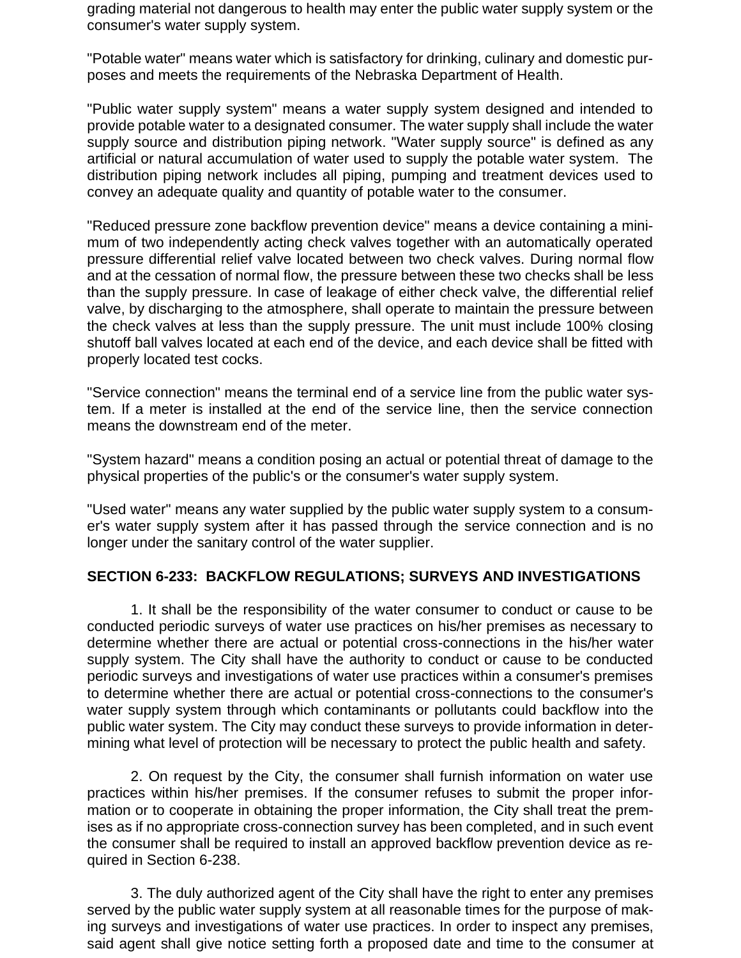grading material not dangerous to health may enter the public water supply system or the consumer's water supply system.

"Potable water" means water which is satisfactory for drinking, culinary and domestic purposes and meets the requirements of the Nebraska Department of Health.

"Public water supply system" means a water supply system designed and intended to provide potable water to a designated consumer. The water supply shall include the water supply source and distribution piping network. "Water supply source" is defined as any artificial or natural accumulation of water used to supply the potable water system. The distribution piping network includes all piping, pumping and treatment devices used to convey an adequate quality and quantity of potable water to the consumer.

"Reduced pressure zone backflow prevention device" means a device containing a minimum of two independently acting check valves together with an automatically operated pressure differential relief valve located between two check valves. During normal flow and at the cessation of normal flow, the pressure between these two checks shall be less than the supply pressure. In case of leakage of either check valve, the differential relief valve, by discharging to the atmosphere, shall operate to maintain the pressure between the check valves at less than the supply pressure. The unit must include 100% closing shutoff ball valves located at each end of the device, and each device shall be fitted with properly located test cocks.

"Service connection" means the terminal end of a service line from the public water system. If a meter is installed at the end of the service line, then the service connection means the downstream end of the meter.

"System hazard" means a condition posing an actual or potential threat of damage to the physical properties of the public's or the consumer's water supply system.

"Used water" means any water supplied by the public water supply system to a consumer's water supply system after it has passed through the service connection and is no longer under the sanitary control of the water supplier.

### **SECTION 6-233: BACKFLOW REGULATIONS; SURVEYS AND INVESTIGATIONS**

1. It shall be the responsibility of the water consumer to conduct or cause to be conducted periodic surveys of water use practices on his/her premises as necessary to determine whether there are actual or potential cross-connections in the his/her water supply system. The City shall have the authority to conduct or cause to be conducted periodic surveys and investigations of water use practices within a consumer's premises to determine whether there are actual or potential cross-connections to the consumer's water supply system through which contaminants or pollutants could backflow into the public water system. The City may conduct these surveys to provide information in determining what level of protection will be necessary to protect the public health and safety.

2. On request by the City, the consumer shall furnish information on water use practices within his/her premises. If the consumer refuses to submit the proper information or to cooperate in obtaining the proper information, the City shall treat the premises as if no appropriate cross-connection survey has been completed, and in such event the consumer shall be required to install an approved backflow prevention device as required in Section 6-238.

3. The duly authorized agent of the City shall have the right to enter any premises served by the public water supply system at all reasonable times for the purpose of making surveys and investigations of water use practices. In order to inspect any premises, said agent shall give notice setting forth a proposed date and time to the consumer at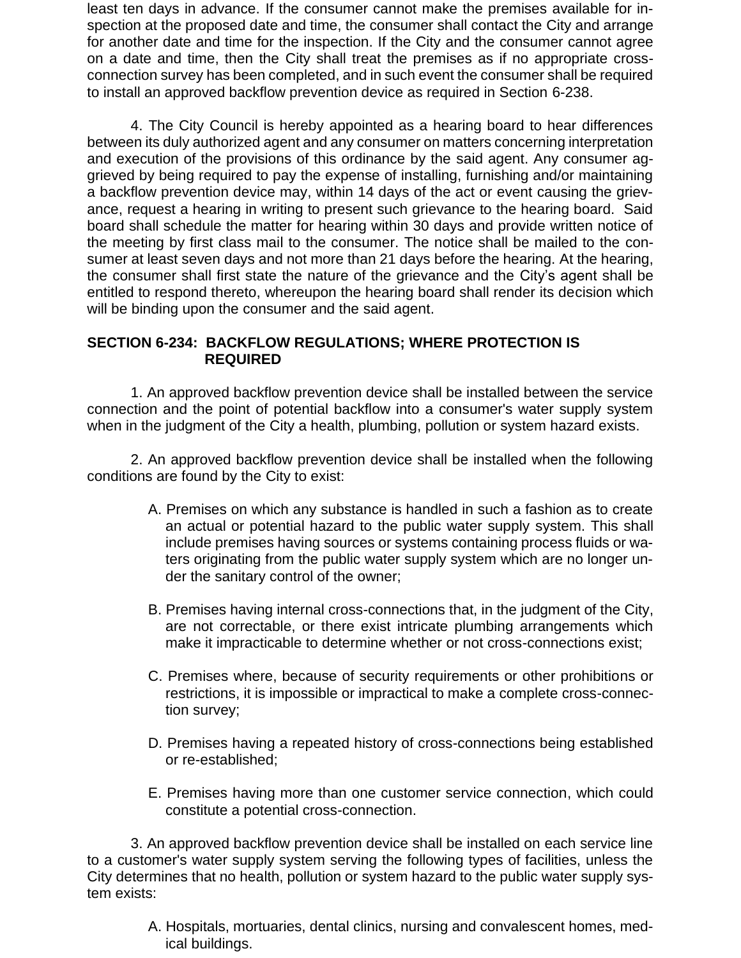least ten days in advance. If the consumer cannot make the premises available for inspection at the proposed date and time, the consumer shall contact the City and arrange for another date and time for the inspection. If the City and the consumer cannot agree on a date and time, then the City shall treat the premises as if no appropriate crossconnection survey has been completed, and in such event the consumer shall be required to install an approved backflow prevention device as required in Section 6-238.

4. The City Council is hereby appointed as a hearing board to hear differences between its duly authorized agent and any consumer on matters concerning interpretation and execution of the provisions of this ordinance by the said agent. Any consumer aggrieved by being required to pay the expense of installing, furnishing and/or maintaining a backflow prevention device may, within 14 days of the act or event causing the grievance, request a hearing in writing to present such grievance to the hearing board. Said board shall schedule the matter for hearing within 30 days and provide written notice of the meeting by first class mail to the consumer. The notice shall be mailed to the consumer at least seven days and not more than 21 days before the hearing. At the hearing, the consumer shall first state the nature of the grievance and the City's agent shall be entitled to respond thereto, whereupon the hearing board shall render its decision which will be binding upon the consumer and the said agent.

### **SECTION 6-234: BACKFLOW REGULATIONS; WHERE PROTECTION IS REQUIRED**

1. An approved backflow prevention device shall be installed between the service connection and the point of potential backflow into a consumer's water supply system when in the judgment of the City a health, plumbing, pollution or system hazard exists.

2. An approved backflow prevention device shall be installed when the following conditions are found by the City to exist:

- A. Premises on which any substance is handled in such a fashion as to create an actual or potential hazard to the public water supply system. This shall include premises having sources or systems containing process fluids or waters originating from the public water supply system which are no longer under the sanitary control of the owner;
- B. Premises having internal cross-connections that, in the judgment of the City, are not correctable, or there exist intricate plumbing arrangements which make it impracticable to determine whether or not cross-connections exist;
- C. Premises where, because of security requirements or other prohibitions or restrictions, it is impossible or impractical to make a complete cross-connection survey;
- D. Premises having a repeated history of cross-connections being established or re-established;
- E. Premises having more than one customer service connection, which could constitute a potential cross-connection.

3. An approved backflow prevention device shall be installed on each service line to a customer's water supply system serving the following types of facilities, unless the City determines that no health, pollution or system hazard to the public water supply system exists:

> A. Hospitals, mortuaries, dental clinics, nursing and convalescent homes, medical buildings.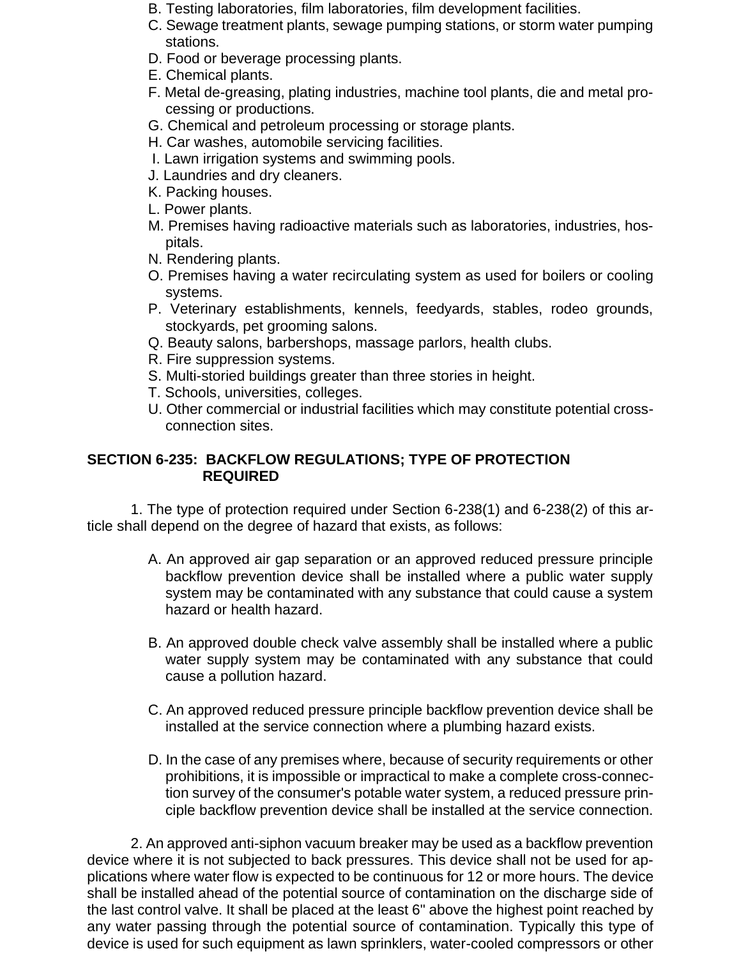- B. Testing laboratories, film laboratories, film development facilities.
- C. Sewage treatment plants, sewage pumping stations, or storm water pumping stations.
- D. Food or beverage processing plants.
- E. Chemical plants.
- F. Metal de-greasing, plating industries, machine tool plants, die and metal processing or productions.
- G. Chemical and petroleum processing or storage plants.
- H. Car washes, automobile servicing facilities.
- I. Lawn irrigation systems and swimming pools.
- J. Laundries and dry cleaners.
- K. Packing houses.
- L. Power plants.
- M. Premises having radioactive materials such as laboratories, industries, hospitals.
- N. Rendering plants.
- O. Premises having a water recirculating system as used for boilers or cooling systems.
- P. Veterinary establishments, kennels, feedyards, stables, rodeo grounds, stockyards, pet grooming salons.
- Q. Beauty salons, barbershops, massage parlors, health clubs.
- R. Fire suppression systems.
- S. Multi-storied buildings greater than three stories in height.
- T. Schools, universities, colleges.
- U. Other commercial or industrial facilities which may constitute potential crossconnection sites.

### **SECTION 6-235: BACKFLOW REGULATIONS; TYPE OF PROTECTION REQUIRED**

1. The type of protection required under Section 6-238(1) and 6-238(2) of this article shall depend on the degree of hazard that exists, as follows:

- A. An approved air gap separation or an approved reduced pressure principle backflow prevention device shall be installed where a public water supply system may be contaminated with any substance that could cause a system hazard or health hazard.
- B. An approved double check valve assembly shall be installed where a public water supply system may be contaminated with any substance that could cause a pollution hazard.
- C. An approved reduced pressure principle backflow prevention device shall be installed at the service connection where a plumbing hazard exists.
- D. In the case of any premises where, because of security requirements or other prohibitions, it is impossible or impractical to make a complete cross-connection survey of the consumer's potable water system, a reduced pressure principle backflow prevention device shall be installed at the service connection.

2. An approved anti-siphon vacuum breaker may be used as a backflow prevention device where it is not subjected to back pressures. This device shall not be used for applications where water flow is expected to be continuous for 12 or more hours. The device shall be installed ahead of the potential source of contamination on the discharge side of the last control valve. It shall be placed at the least 6" above the highest point reached by any water passing through the potential source of contamination. Typically this type of device is used for such equipment as lawn sprinklers, water-cooled compressors or other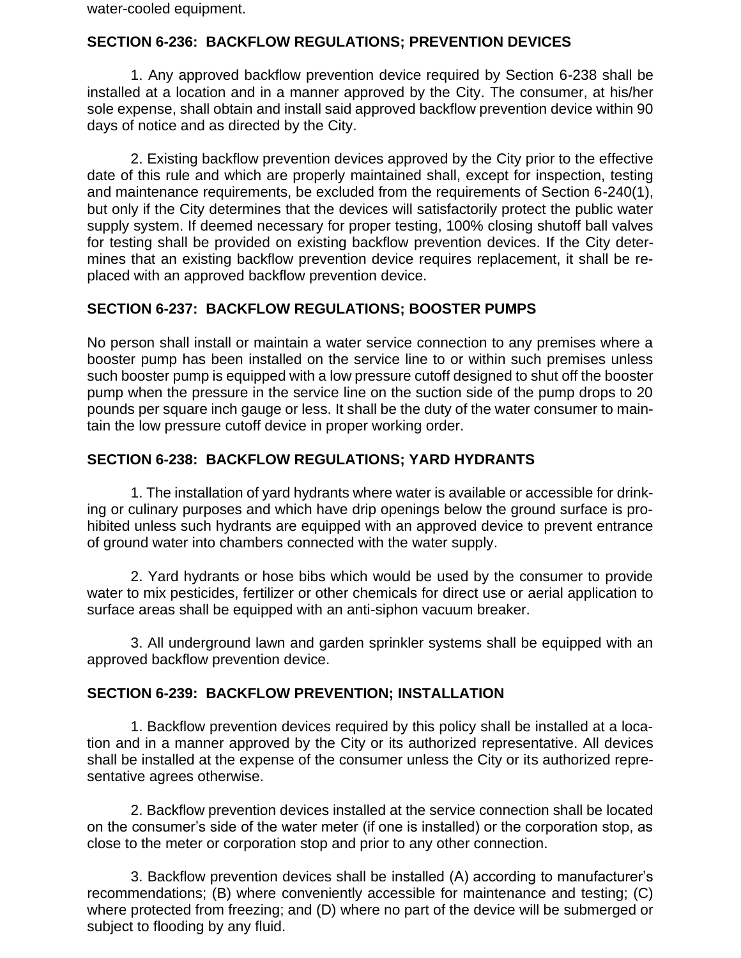water-cooled equipment.

### **SECTION 6-236: BACKFLOW REGULATIONS; PREVENTION DEVICES**

1. Any approved backflow prevention device required by Section 6-238 shall be installed at a location and in a manner approved by the City. The consumer, at his/her sole expense, shall obtain and install said approved backflow prevention device within 90 days of notice and as directed by the City.

2. Existing backflow prevention devices approved by the City prior to the effective date of this rule and which are properly maintained shall, except for inspection, testing and maintenance requirements, be excluded from the requirements of Section 6-240(1), but only if the City determines that the devices will satisfactorily protect the public water supply system. If deemed necessary for proper testing, 100% closing shutoff ball valves for testing shall be provided on existing backflow prevention devices. If the City determines that an existing backflow prevention device requires replacement, it shall be replaced with an approved backflow prevention device.

### **SECTION 6-237: BACKFLOW REGULATIONS; BOOSTER PUMPS**

No person shall install or maintain a water service connection to any premises where a booster pump has been installed on the service line to or within such premises unless such booster pump is equipped with a low pressure cutoff designed to shut off the booster pump when the pressure in the service line on the suction side of the pump drops to 20 pounds per square inch gauge or less. It shall be the duty of the water consumer to maintain the low pressure cutoff device in proper working order.

### **SECTION 6-238: BACKFLOW REGULATIONS; YARD HYDRANTS**

1. The installation of yard hydrants where water is available or accessible for drinking or culinary purposes and which have drip openings below the ground surface is prohibited unless such hydrants are equipped with an approved device to prevent entrance of ground water into chambers connected with the water supply.

2. Yard hydrants or hose bibs which would be used by the consumer to provide water to mix pesticides, fertilizer or other chemicals for direct use or aerial application to surface areas shall be equipped with an anti-siphon vacuum breaker.

3. All underground lawn and garden sprinkler systems shall be equipped with an approved backflow prevention device.

### **SECTION 6-239: BACKFLOW PREVENTION; INSTALLATION**

1. Backflow prevention devices required by this policy shall be installed at a location and in a manner approved by the City or its authorized representative. All devices shall be installed at the expense of the consumer unless the City or its authorized representative agrees otherwise.

2. Backflow prevention devices installed at the service connection shall be located on the consumer's side of the water meter (if one is installed) or the corporation stop, as close to the meter or corporation stop and prior to any other connection.

3. Backflow prevention devices shall be installed (A) according to manufacturer's recommendations; (B) where conveniently accessible for maintenance and testing; (C) where protected from freezing; and (D) where no part of the device will be submerged or subject to flooding by any fluid.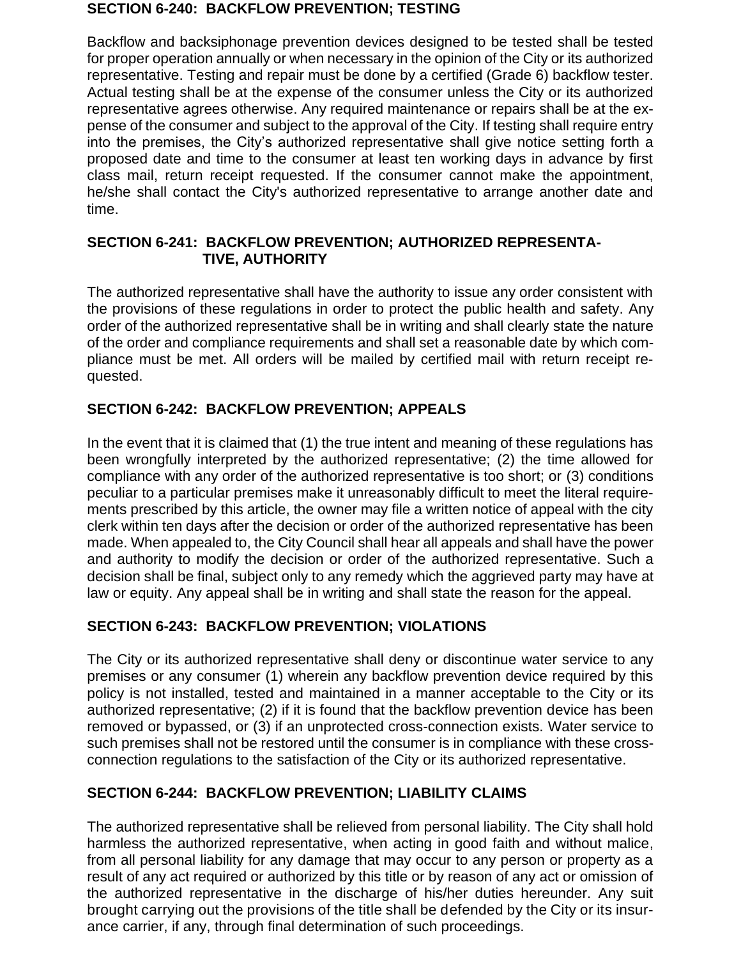#### **SECTION 6-240: BACKFLOW PREVENTION; TESTING**

Backflow and backsiphonage prevention devices designed to be tested shall be tested for proper operation annually or when necessary in the opinion of the City or its authorized representative. Testing and repair must be done by a certified (Grade 6) backflow tester. Actual testing shall be at the expense of the consumer unless the City or its authorized representative agrees otherwise. Any required maintenance or repairs shall be at the expense of the consumer and subject to the approval of the City. If testing shall require entry into the premises, the City's authorized representative shall give notice setting forth a proposed date and time to the consumer at least ten working days in advance by first class mail, return receipt requested. If the consumer cannot make the appointment, he/she shall contact the City's authorized representative to arrange another date and time.

### **SECTION 6-241: BACKFLOW PREVENTION; AUTHORIZED REPRESENTA- TIVE, AUTHORITY**

The authorized representative shall have the authority to issue any order consistent with the provisions of these regulations in order to protect the public health and safety. Any order of the authorized representative shall be in writing and shall clearly state the nature of the order and compliance requirements and shall set a reasonable date by which compliance must be met. All orders will be mailed by certified mail with return receipt requested.

## **SECTION 6-242: BACKFLOW PREVENTION; APPEALS**

In the event that it is claimed that (1) the true intent and meaning of these regulations has been wrongfully interpreted by the authorized representative; (2) the time allowed for compliance with any order of the authorized representative is too short; or (3) conditions peculiar to a particular premises make it unreasonably difficult to meet the literal requirements prescribed by this article, the owner may file a written notice of appeal with the city clerk within ten days after the decision or order of the authorized representative has been made. When appealed to, the City Council shall hear all appeals and shall have the power and authority to modify the decision or order of the authorized representative. Such a decision shall be final, subject only to any remedy which the aggrieved party may have at law or equity. Any appeal shall be in writing and shall state the reason for the appeal.

## **SECTION 6-243: BACKFLOW PREVENTION; VIOLATIONS**

The City or its authorized representative shall deny or discontinue water service to any premises or any consumer (1) wherein any backflow prevention device required by this policy is not installed, tested and maintained in a manner acceptable to the City or its authorized representative; (2) if it is found that the backflow prevention device has been removed or bypassed, or (3) if an unprotected cross-connection exists. Water service to such premises shall not be restored until the consumer is in compliance with these crossconnection regulations to the satisfaction of the City or its authorized representative.

# **SECTION 6-244: BACKFLOW PREVENTION; LIABILITY CLAIMS**

The authorized representative shall be relieved from personal liability. The City shall hold harmless the authorized representative, when acting in good faith and without malice, from all personal liability for any damage that may occur to any person or property as a result of any act required or authorized by this title or by reason of any act or omission of the authorized representative in the discharge of his/her duties hereunder. Any suit brought carrying out the provisions of the title shall be defended by the City or its insurance carrier, if any, through final determination of such proceedings.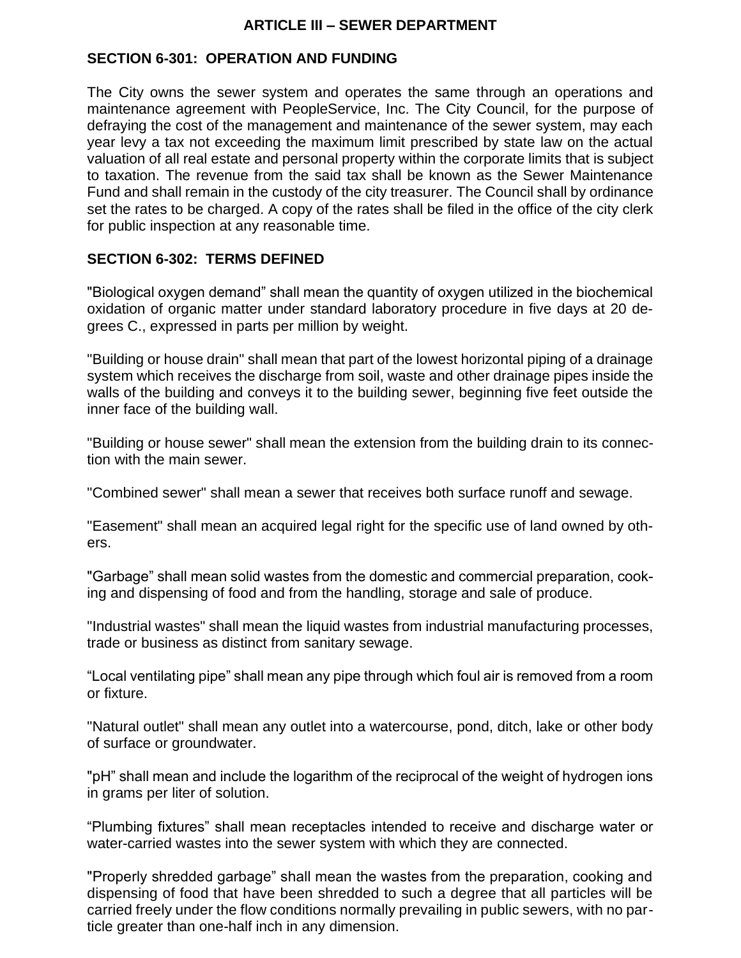### **ARTICLE III – SEWER DEPARTMENT**

### **SECTION 6-301: OPERATION AND FUNDING**

The City owns the sewer system and operates the same through an operations and maintenance agreement with PeopleService, Inc. The City Council, for the purpose of defraying the cost of the management and maintenance of the sewer system, may each year levy a tax not exceeding the maximum limit prescribed by state law on the actual valuation of all real estate and personal property within the corporate limits that is subject to taxation. The revenue from the said tax shall be known as the Sewer Maintenance Fund and shall remain in the custody of the city treasurer. The Council shall by ordinance set the rates to be charged. A copy of the rates shall be filed in the office of the city clerk for public inspection at any reasonable time.

### **SECTION 6-302: TERMS DEFINED**

"Biological oxygen demand" shall mean the quantity of oxygen utilized in the biochemical oxidation of organic matter under standard laboratory procedure in five days at 20 degrees C., expressed in parts per million by weight.

"Building or house drain" shall mean that part of the lowest horizontal piping of a drainage system which receives the discharge from soil, waste and other drainage pipes inside the walls of the building and conveys it to the building sewer, beginning five feet outside the inner face of the building wall.

"Building or house sewer" shall mean the extension from the building drain to its connection with the main sewer.

"Combined sewer" shall mean a sewer that receives both surface runoff and sewage.

"Easement" shall mean an acquired legal right for the specific use of land owned by others.

"Garbage" shall mean solid wastes from the domestic and commercial preparation, cooking and dispensing of food and from the handling, storage and sale of produce.

"Industrial wastes" shall mean the liquid wastes from industrial manufacturing processes, trade or business as distinct from sanitary sewage.

"Local ventilating pipe" shall mean any pipe through which foul air is removed from a room or fixture.

"Natural outlet" shall mean any outlet into a watercourse, pond, ditch, lake or other body of surface or groundwater.

"pH" shall mean and include the logarithm of the reciprocal of the weight of hydrogen ions in grams per liter of solution.

"Plumbing fixtures" shall mean receptacles intended to receive and discharge water or water-carried wastes into the sewer system with which they are connected.

"Properly shredded garbage" shall mean the wastes from the preparation, cooking and dispensing of food that have been shredded to such a degree that all particles will be carried freely under the flow conditions normally prevailing in public sewers, with no particle greater than one-half inch in any dimension.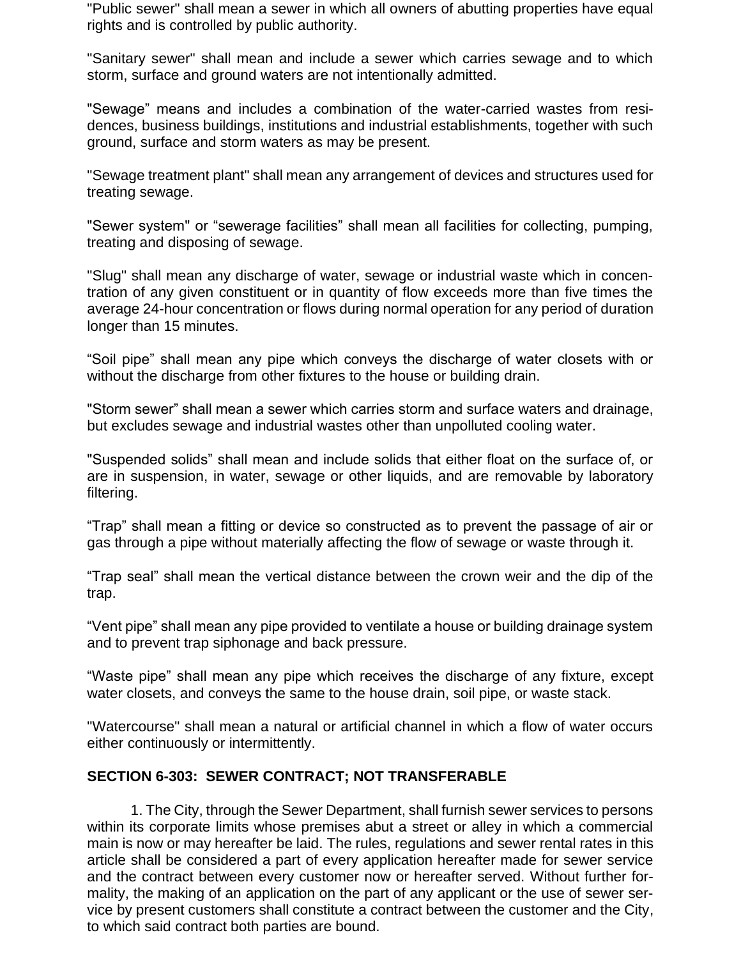"Public sewer" shall mean a sewer in which all owners of abutting properties have equal rights and is controlled by public authority.

"Sanitary sewer" shall mean and include a sewer which carries sewage and to which storm, surface and ground waters are not intentionally admitted.

"Sewage" means and includes a combination of the water-carried wastes from residences, business buildings, institutions and industrial establishments, together with such ground, surface and storm waters as may be present.

"Sewage treatment plant" shall mean any arrangement of devices and structures used for treating sewage.

"Sewer system" or "sewerage facilities" shall mean all facilities for collecting, pumping, treating and disposing of sewage.

"Slug" shall mean any discharge of water, sewage or industrial waste which in concentration of any given constituent or in quantity of flow exceeds more than five times the average 24-hour concentration or flows during normal operation for any period of duration longer than 15 minutes.

"Soil pipe" shall mean any pipe which conveys the discharge of water closets with or without the discharge from other fixtures to the house or building drain.

"Storm sewer" shall mean a sewer which carries storm and surface waters and drainage, but excludes sewage and industrial wastes other than unpolluted cooling water.

"Suspended solids" shall mean and include solids that either float on the surface of, or are in suspension, in water, sewage or other liquids, and are removable by laboratory filtering.

"Trap" shall mean a fitting or device so constructed as to prevent the passage of air or gas through a pipe without materially affecting the flow of sewage or waste through it.

"Trap seal" shall mean the vertical distance between the crown weir and the dip of the trap.

"Vent pipe" shall mean any pipe provided to ventilate a house or building drainage system and to prevent trap siphonage and back pressure.

"Waste pipe" shall mean any pipe which receives the discharge of any fixture, except water closets, and conveys the same to the house drain, soil pipe, or waste stack.

"Watercourse" shall mean a natural or artificial channel in which a flow of water occurs either continuously or intermittently.

### **SECTION 6-303: SEWER CONTRACT; NOT TRANSFERABLE**

1. The City, through the Sewer Department, shall furnish sewer services to persons within its corporate limits whose premises abut a street or alley in which a commercial main is now or may hereafter be laid. The rules, regulations and sewer rental rates in this article shall be considered a part of every application hereafter made for sewer service and the contract between every customer now or hereafter served. Without further formality, the making of an application on the part of any applicant or the use of sewer service by present customers shall constitute a contract between the customer and the City, to which said contract both parties are bound.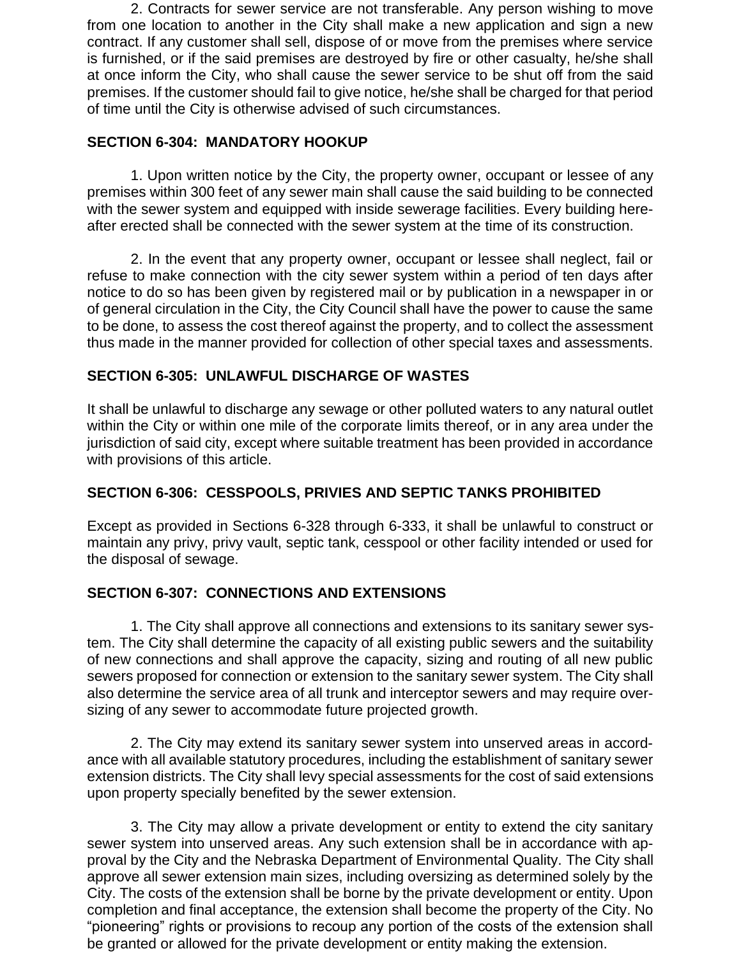2. Contracts for sewer service are not transferable. Any person wishing to move from one location to another in the City shall make a new application and sign a new contract. If any customer shall sell, dispose of or move from the premises where service is furnished, or if the said premises are destroyed by fire or other casualty, he/she shall at once inform the City, who shall cause the sewer service to be shut off from the said premises. If the customer should fail to give notice, he/she shall be charged for that period of time until the City is otherwise advised of such circumstances.

### **SECTION 6-304: MANDATORY HOOKUP**

1. Upon written notice by the City, the property owner, occupant or lessee of any premises within 300 feet of any sewer main shall cause the said building to be connected with the sewer system and equipped with inside sewerage facilities. Every building hereafter erected shall be connected with the sewer system at the time of its construction.

2. In the event that any property owner, occupant or lessee shall neglect, fail or refuse to make connection with the city sewer system within a period of ten days after notice to do so has been given by registered mail or by publication in a newspaper in or of general circulation in the City, the City Council shall have the power to cause the same to be done, to assess the cost thereof against the property, and to collect the assessment thus made in the manner provided for collection of other special taxes and assessments.

## **SECTION 6-305: UNLAWFUL DISCHARGE OF WASTES**

It shall be unlawful to discharge any sewage or other polluted waters to any natural outlet within the City or within one mile of the corporate limits thereof, or in any area under the jurisdiction of said city, except where suitable treatment has been provided in accordance with provisions of this article.

## **SECTION 6-306: CESSPOOLS, PRIVIES AND SEPTIC TANKS PROHIBITED**

Except as provided in Sections 6-328 through 6-333, it shall be unlawful to construct or maintain any privy, privy vault, septic tank, cesspool or other facility intended or used for the disposal of sewage.

## **SECTION 6-307: CONNECTIONS AND EXTENSIONS**

1. The City shall approve all connections and extensions to its sanitary sewer system. The City shall determine the capacity of all existing public sewers and the suitability of new connections and shall approve the capacity, sizing and routing of all new public sewers proposed for connection or extension to the sanitary sewer system. The City shall also determine the service area of all trunk and interceptor sewers and may require oversizing of any sewer to accommodate future projected growth.

2. The City may extend its sanitary sewer system into unserved areas in accordance with all available statutory procedures, including the establishment of sanitary sewer extension districts. The City shall levy special assessments for the cost of said extensions upon property specially benefited by the sewer extension.

3. The City may allow a private development or entity to extend the city sanitary sewer system into unserved areas. Any such extension shall be in accordance with approval by the City and the Nebraska Department of Environmental Quality. The City shall approve all sewer extension main sizes, including oversizing as determined solely by the City. The costs of the extension shall be borne by the private development or entity. Upon completion and final acceptance, the extension shall become the property of the City. No "pioneering" rights or provisions to recoup any portion of the costs of the extension shall be granted or allowed for the private development or entity making the extension.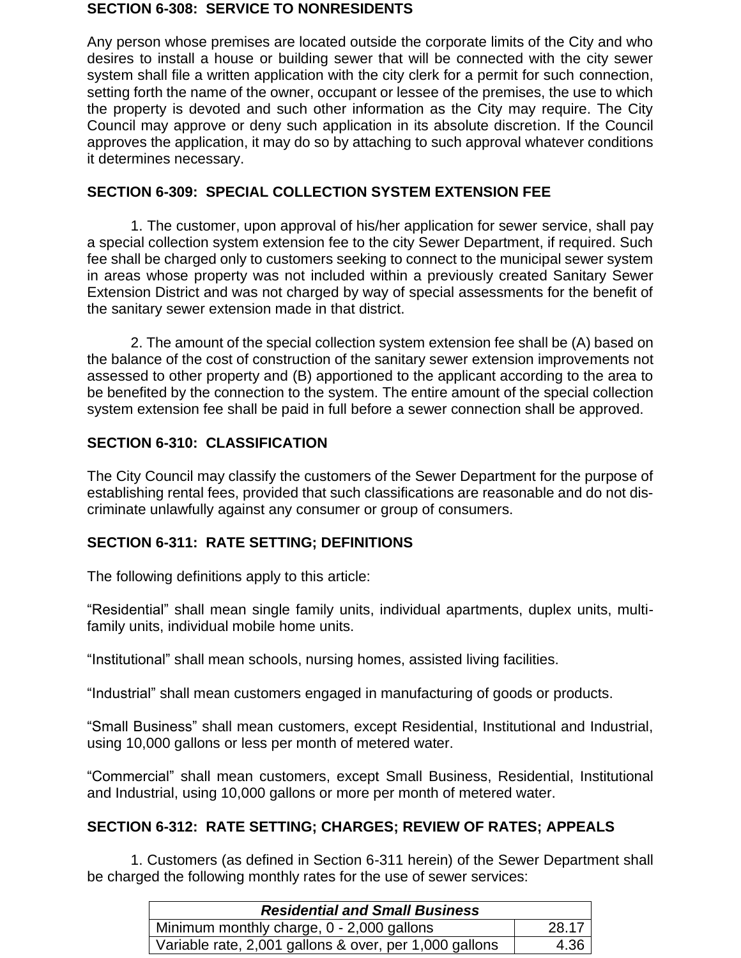#### **SECTION 6-308: SERVICE TO NONRESIDENTS**

Any person whose premises are located outside the corporate limits of the City and who desires to install a house or building sewer that will be connected with the city sewer system shall file a written application with the city clerk for a permit for such connection, setting forth the name of the owner, occupant or lessee of the premises, the use to which the property is devoted and such other information as the City may require. The City Council may approve or deny such application in its absolute discretion. If the Council approves the application, it may do so by attaching to such approval whatever conditions it determines necessary.

## **SECTION 6-309: SPECIAL COLLECTION SYSTEM EXTENSION FEE**

1. The customer, upon approval of his/her application for sewer service, shall pay a special collection system extension fee to the city Sewer Department, if required. Such fee shall be charged only to customers seeking to connect to the municipal sewer system in areas whose property was not included within a previously created Sanitary Sewer Extension District and was not charged by way of special assessments for the benefit of the sanitary sewer extension made in that district.

2. The amount of the special collection system extension fee shall be (A) based on the balance of the cost of construction of the sanitary sewer extension improvements not assessed to other property and (B) apportioned to the applicant according to the area to be benefited by the connection to the system. The entire amount of the special collection system extension fee shall be paid in full before a sewer connection shall be approved.

## **SECTION 6-310: CLASSIFICATION**

The City Council may classify the customers of the Sewer Department for the purpose of establishing rental fees, provided that such classifications are reasonable and do not discriminate unlawfully against any consumer or group of consumers.

## **SECTION 6-311: RATE SETTING; DEFINITIONS**

The following definitions apply to this article:

"Residential" shall mean single family units, individual apartments, duplex units, multifamily units, individual mobile home units.

"Institutional" shall mean schools, nursing homes, assisted living facilities.

"Industrial" shall mean customers engaged in manufacturing of goods or products.

"Small Business" shall mean customers, except Residential, Institutional and Industrial, using 10,000 gallons or less per month of metered water.

"Commercial" shall mean customers, except Small Business, Residential, Institutional and Industrial, using 10,000 gallons or more per month of metered water.

## **SECTION 6-312: RATE SETTING; CHARGES; REVIEW OF RATES; APPEALS**

1. Customers (as defined in Section 6-311 herein) of the Sewer Department shall be charged the following monthly rates for the use of sewer services:

| <b>Residential and Small Business</b>                  |       |  |
|--------------------------------------------------------|-------|--|
| Minimum monthly charge, 0 - 2,000 gallons              | 28.17 |  |
| Variable rate, 2,001 gallons & over, per 1,000 gallons | 4.36  |  |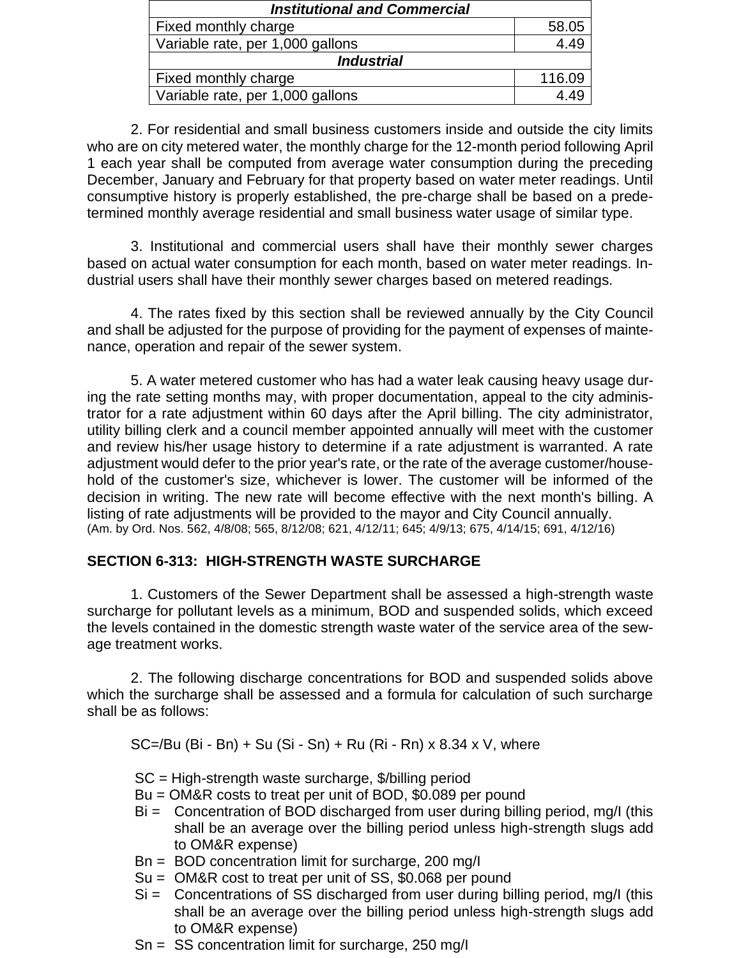| <b>Institutional and Commercial</b> |        |  |
|-------------------------------------|--------|--|
| Fixed monthly charge                | 58.05  |  |
| Variable rate, per 1,000 gallons    | 4.49   |  |
| <i><b>Industrial</b></i>            |        |  |
| Fixed monthly charge                | 116.09 |  |
| Variable rate, per 1,000 gallons    |        |  |

2. For residential and small business customers inside and outside the city limits who are on city metered water, the monthly charge for the 12-month period following April 1 each year shall be computed from average water consumption during the preceding December, January and February for that property based on water meter readings. Until consumptive history is properly established, the pre-charge shall be based on a predetermined monthly average residential and small business water usage of similar type.

3. Institutional and commercial users shall have their monthly sewer charges based on actual water consumption for each month, based on water meter readings. Industrial users shall have their monthly sewer charges based on metered readings.

4. The rates fixed by this section shall be reviewed annually by the City Council and shall be adjusted for the purpose of providing for the payment of expenses of maintenance, operation and repair of the sewer system.

5. A water metered customer who has had a water leak causing heavy usage during the rate setting months may, with proper documentation, appeal to the city administrator for a rate adjustment within 60 days after the April billing. The city administrator, utility billing clerk and a council member appointed annually will meet with the customer and review his/her usage history to determine if a rate adjustment is warranted. A rate adjustment would defer to the prior year's rate, or the rate of the average customer/household of the customer's size, whichever is lower. The customer will be informed of the decision in writing. The new rate will become effective with the next month's billing. A listing of rate adjustments will be provided to the mayor and City Council annually. (Am. by Ord. Nos. 562, 4/8/08; 565, 8/12/08; 621, 4/12/11; 645; 4/9/13; 675, 4/14/15; 691, 4/12/16)

### **SECTION 6-313: HIGH-STRENGTH WASTE SURCHARGE**

1. Customers of the Sewer Department shall be assessed a high-strength waste surcharge for pollutant levels as a minimum, BOD and suspended solids, which exceed the levels contained in the domestic strength waste water of the service area of the sewage treatment works.

2. The following discharge concentrations for BOD and suspended solids above which the surcharge shall be assessed and a formula for calculation of such surcharge shall be as follows:

SC=/Bu (Bi - Bn) + Su (Si - Sn) + Ru (Ri - Rn) x 8.34 x V, where

- SC = High-strength waste surcharge, \$/billing period
- Bu = OM&R costs to treat per unit of BOD, \$0.089 per pound
- Bi = Concentration of BOD discharged from user during billing period, mg/I (this shall be an average over the billing period unless high-strength slugs add to OM&R expense)
- Bn = BOD concentration limit for surcharge, 200 mg/I
- Su = OM&R cost to treat per unit of SS, \$0.068 per pound
- $Si =$  Concentrations of SS discharged from user during billing period, mg/I (this shall be an average over the billing period unless high-strength slugs add to OM&R expense)
- Sn = SS concentration limit for surcharge, 250 mg/I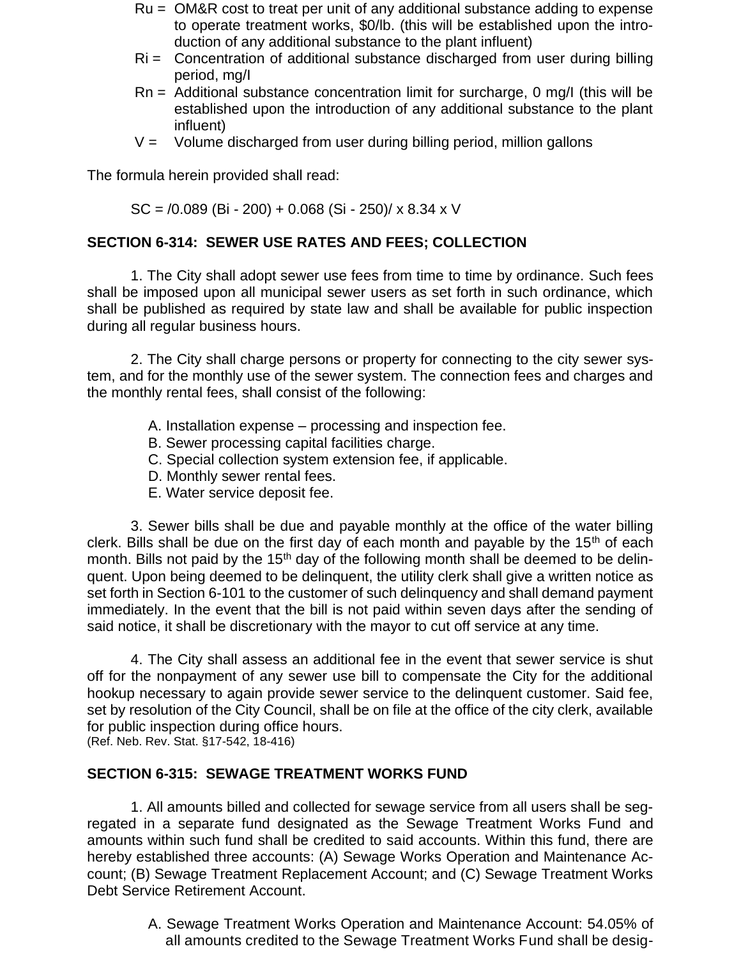- Ru = OM&R cost to treat per unit of any additional substance adding to expense to operate treatment works, \$0/lb. (this will be established upon the introduction of any additional substance to the plant influent)
- Ri = Concentration of additional substance discharged from user during billing period, mg/I
- Rn = Additional substance concentration limit for surcharge, 0 mg/I (this will be established upon the introduction of any additional substance to the plant influent)
- $V =$  Volume discharged from user during billing period, million gallons

The formula herein provided shall read:

 $SC = 0.089$  (Bi - 200) + 0.068 (Si - 250)/ x 8.34 x V

## **SECTION 6-314: SEWER USE RATES AND FEES; COLLECTION**

1. The City shall adopt sewer use fees from time to time by ordinance. Such fees shall be imposed upon all municipal sewer users as set forth in such ordinance, which shall be published as required by state law and shall be available for public inspection during all regular business hours.

2. The City shall charge persons or property for connecting to the city sewer system, and for the monthly use of the sewer system. The connection fees and charges and the monthly rental fees, shall consist of the following:

- A. Installation expense processing and inspection fee.
- B. Sewer processing capital facilities charge.
- C. Special collection system extension fee, if applicable.
- D. Monthly sewer rental fees.
- E. Water service deposit fee.

3. Sewer bills shall be due and payable monthly at the office of the water billing clerk. Bills shall be due on the first day of each month and payable by the  $15<sup>th</sup>$  of each month. Bills not paid by the 15<sup>th</sup> day of the following month shall be deemed to be delinquent. Upon being deemed to be delinquent, the utility clerk shall give a written notice as set forth in Section 6-101 to the customer of such delinquency and shall demand payment immediately. In the event that the bill is not paid within seven days after the sending of said notice, it shall be discretionary with the mayor to cut off service at any time.

4. The City shall assess an additional fee in the event that sewer service is shut off for the nonpayment of any sewer use bill to compensate the City for the additional hookup necessary to again provide sewer service to the delinquent customer. Said fee, set by resolution of the City Council, shall be on file at the office of the city clerk, available for public inspection during office hours.

(Ref. Neb. Rev. Stat. §17-542, 18-416)

### **SECTION 6-315: SEWAGE TREATMENT WORKS FUND**

1. All amounts billed and collected for sewage service from all users shall be segregated in a separate fund designated as the Sewage Treatment Works Fund and amounts within such fund shall be credited to said accounts. Within this fund, there are hereby established three accounts: (A) Sewage Works Operation and Maintenance Account; (B) Sewage Treatment Replacement Account; and (C) Sewage Treatment Works Debt Service Retirement Account.

> A. Sewage Treatment Works Operation and Maintenance Account: 54.05% of all amounts credited to the Sewage Treatment Works Fund shall be desig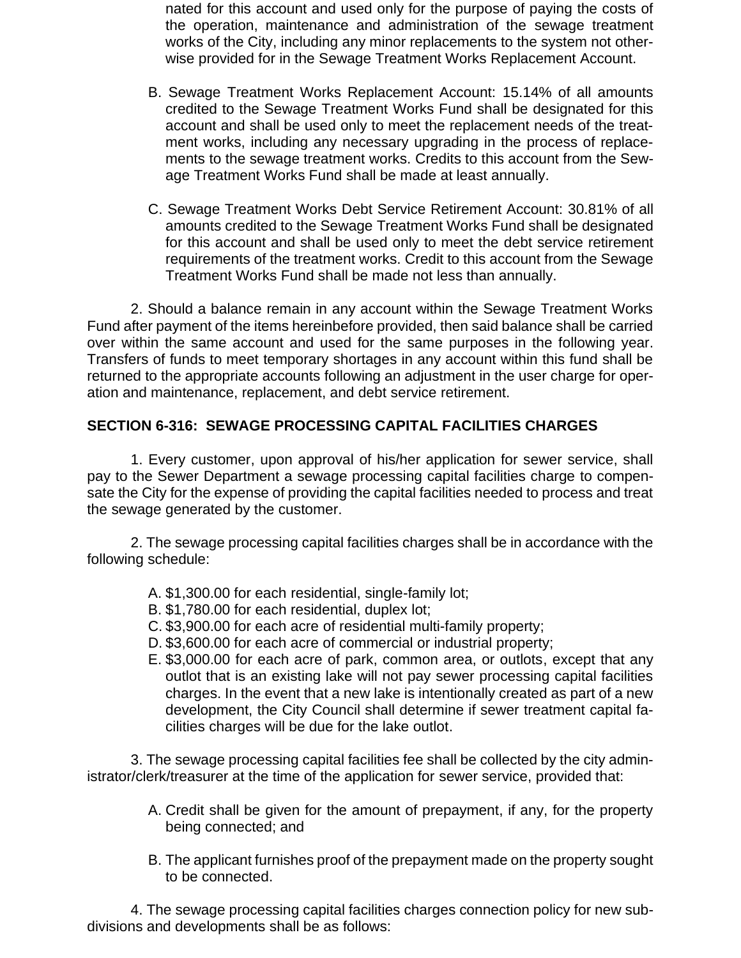nated for this account and used only for the purpose of paying the costs of the operation, maintenance and administration of the sewage treatment works of the City, including any minor replacements to the system not otherwise provided for in the Sewage Treatment Works Replacement Account.

- B. Sewage Treatment Works Replacement Account: 15.14% of all amounts credited to the Sewage Treatment Works Fund shall be designated for this account and shall be used only to meet the replacement needs of the treatment works, including any necessary upgrading in the process of replacements to the sewage treatment works. Credits to this account from the Sewage Treatment Works Fund shall be made at least annually.
- C. Sewage Treatment Works Debt Service Retirement Account: 30.81% of all amounts credited to the Sewage Treatment Works Fund shall be designated for this account and shall be used only to meet the debt service retirement requirements of the treatment works. Credit to this account from the Sewage Treatment Works Fund shall be made not less than annually.

2. Should a balance remain in any account within the Sewage Treatment Works Fund after payment of the items hereinbefore provided, then said balance shall be carried over within the same account and used for the same purposes in the following year. Transfers of funds to meet temporary shortages in any account within this fund shall be returned to the appropriate accounts following an adjustment in the user charge for operation and maintenance, replacement, and debt service retirement.

### **SECTION 6-316: SEWAGE PROCESSING CAPITAL FACILITIES CHARGES**

1. Every customer, upon approval of his/her application for sewer service, shall pay to the Sewer Department a sewage processing capital facilities charge to compensate the City for the expense of providing the capital facilities needed to process and treat the sewage generated by the customer.

2. The sewage processing capital facilities charges shall be in accordance with the following schedule:

- A. \$1,300.00 for each residential, single-family lot;
- B. \$1,780.00 for each residential, duplex lot;
- C. \$3,900.00 for each acre of residential multi-family property;
- D. \$3,600.00 for each acre of commercial or industrial property;
- E. \$3,000.00 for each acre of park, common area, or outlots, except that any outlot that is an existing lake will not pay sewer processing capital facilities charges. In the event that a new lake is intentionally created as part of a new development, the City Council shall determine if sewer treatment capital facilities charges will be due for the lake outlot.

3. The sewage processing capital facilities fee shall be collected by the city administrator/clerk/treasurer at the time of the application for sewer service, provided that:

- A. Credit shall be given for the amount of prepayment, if any, for the property being connected; and
- B. The applicant furnishes proof of the prepayment made on the property sought to be connected.

4. The sewage processing capital facilities charges connection policy for new subdivisions and developments shall be as follows: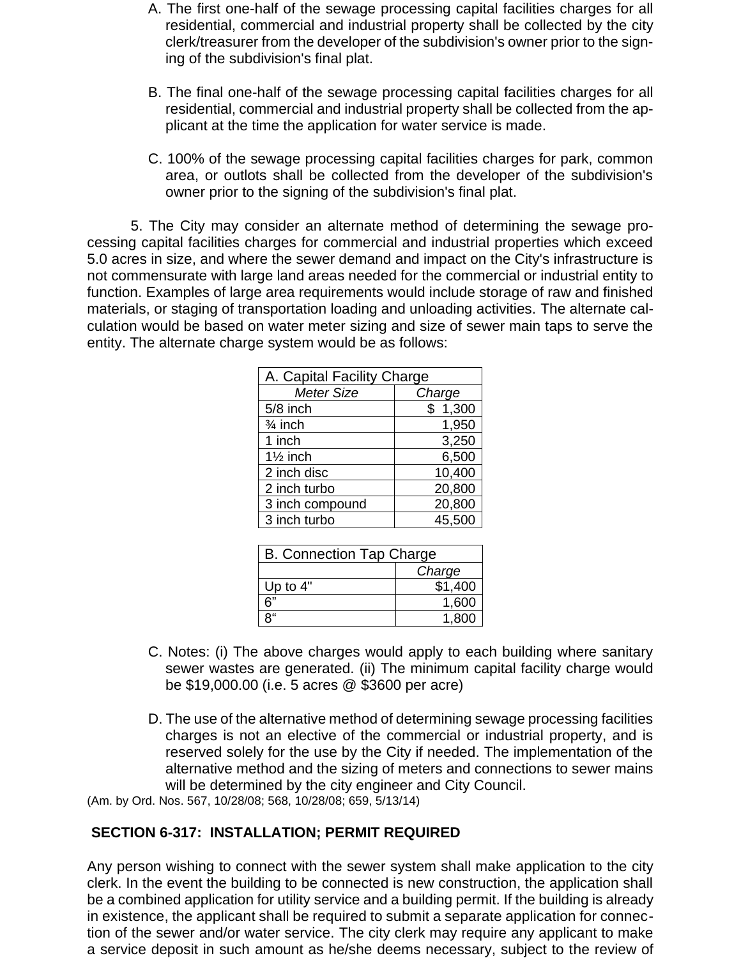- A. The first one-half of the sewage processing capital facilities charges for all residential, commercial and industrial property shall be collected by the city clerk/treasurer from the developer of the subdivision's owner prior to the signing of the subdivision's final plat.
- B. The final one-half of the sewage processing capital facilities charges for all residential, commercial and industrial property shall be collected from the applicant at the time the application for water service is made.
- C. 100% of the sewage processing capital facilities charges for park, common area, or outlots shall be collected from the developer of the subdivision's owner prior to the signing of the subdivision's final plat.

5. The City may consider an alternate method of determining the sewage processing capital facilities charges for commercial and industrial properties which exceed 5.0 acres in size, and where the sewer demand and impact on the City's infrastructure is not commensurate with large land areas needed for the commercial or industrial entity to function. Examples of large area requirements would include storage of raw and finished materials, or staging of transportation loading and unloading activities. The alternate calculation would be based on water meter sizing and size of sewer main taps to serve the entity. The alternate charge system would be as follows:

| A. Capital Facility Charge |         |  |
|----------------------------|---------|--|
| Meter Size                 | Charge  |  |
| 5/8 inch                   | \$1,300 |  |
| $\frac{3}{4}$ inch         | 1,950   |  |
| 1 inch                     | 3,250   |  |
| $1\frac{1}{2}$ inch        | 6,500   |  |
| 2 inch disc                | 10,400  |  |
| 2 inch turbo               | 20,800  |  |
| 3 inch compound            | 20,800  |  |
| 3 inch turbo               | 45,500  |  |

| <b>B. Connection Tap Charge</b> |         |
|---------------------------------|---------|
|                                 | Charge  |
| Up to $4"$                      | \$1,400 |
| ና"                              | 1,600   |
| Q"                              | 1.800   |

- C. Notes: (i) The above charges would apply to each building where sanitary sewer wastes are generated. (ii) The minimum capital facility charge would be \$19,000.00 (i.e. 5 acres @ \$3600 per acre)
- D. The use of the alternative method of determining sewage processing facilities charges is not an elective of the commercial or industrial property, and is reserved solely for the use by the City if needed. The implementation of the alternative method and the sizing of meters and connections to sewer mains will be determined by the city engineer and City Council.

(Am. by Ord. Nos. 567, 10/28/08; 568, 10/28/08; 659, 5/13/14)

### **SECTION 6-317: INSTALLATION; PERMIT REQUIRED**

Any person wishing to connect with the sewer system shall make application to the city clerk. In the event the building to be connected is new construction, the application shall be a combined application for utility service and a building permit. If the building is already in existence, the applicant shall be required to submit a separate application for connection of the sewer and/or water service. The city clerk may require any applicant to make a service deposit in such amount as he/she deems necessary, subject to the review of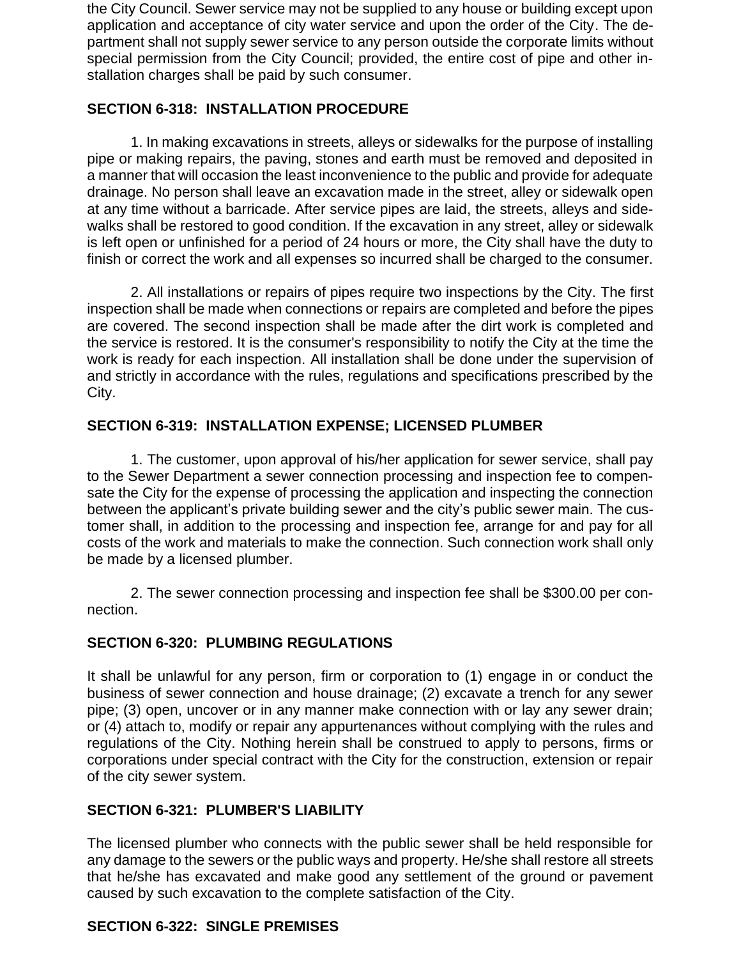the City Council. Sewer service may not be supplied to any house or building except upon application and acceptance of city water service and upon the order of the City. The department shall not supply sewer service to any person outside the corporate limits without special permission from the City Council; provided, the entire cost of pipe and other installation charges shall be paid by such consumer.

## **SECTION 6-318: INSTALLATION PROCEDURE**

1. In making excavations in streets, alleys or sidewalks for the purpose of installing pipe or making repairs, the paving, stones and earth must be removed and deposited in a manner that will occasion the least inconvenience to the public and provide for adequate drainage. No person shall leave an excavation made in the street, alley or sidewalk open at any time without a barricade. After service pipes are laid, the streets, alleys and sidewalks shall be restored to good condition. If the excavation in any street, alley or sidewalk is left open or unfinished for a period of 24 hours or more, the City shall have the duty to finish or correct the work and all expenses so incurred shall be charged to the consumer.

2. All installations or repairs of pipes require two inspections by the City. The first inspection shall be made when connections or repairs are completed and before the pipes are covered. The second inspection shall be made after the dirt work is completed and the service is restored. It is the consumer's responsibility to notify the City at the time the work is ready for each inspection. All installation shall be done under the supervision of and strictly in accordance with the rules, regulations and specifications prescribed by the City.

## **SECTION 6-319: INSTALLATION EXPENSE; LICENSED PLUMBER**

1. The customer, upon approval of his/her application for sewer service, shall pay to the Sewer Department a sewer connection processing and inspection fee to compensate the City for the expense of processing the application and inspecting the connection between the applicant's private building sewer and the city's public sewer main. The customer shall, in addition to the processing and inspection fee, arrange for and pay for all costs of the work and materials to make the connection. Such connection work shall only be made by a licensed plumber.

2. The sewer connection processing and inspection fee shall be \$300.00 per connection.

## **SECTION 6-320: PLUMBING REGULATIONS**

It shall be unlawful for any person, firm or corporation to (1) engage in or conduct the business of sewer connection and house drainage; (2) excavate a trench for any sewer pipe; (3) open, uncover or in any manner make connection with or lay any sewer drain; or (4) attach to, modify or repair any appurtenances without complying with the rules and regulations of the City. Nothing herein shall be construed to apply to persons, firms or corporations under special contract with the City for the construction, extension or repair of the city sewer system.

## **SECTION 6-321: PLUMBER'S LIABILITY**

The licensed plumber who connects with the public sewer shall be held responsible for any damage to the sewers or the public ways and property. He/she shall restore all streets that he/she has excavated and make good any settlement of the ground or pavement caused by such excavation to the complete satisfaction of the City.

## **SECTION 6-322: SINGLE PREMISES**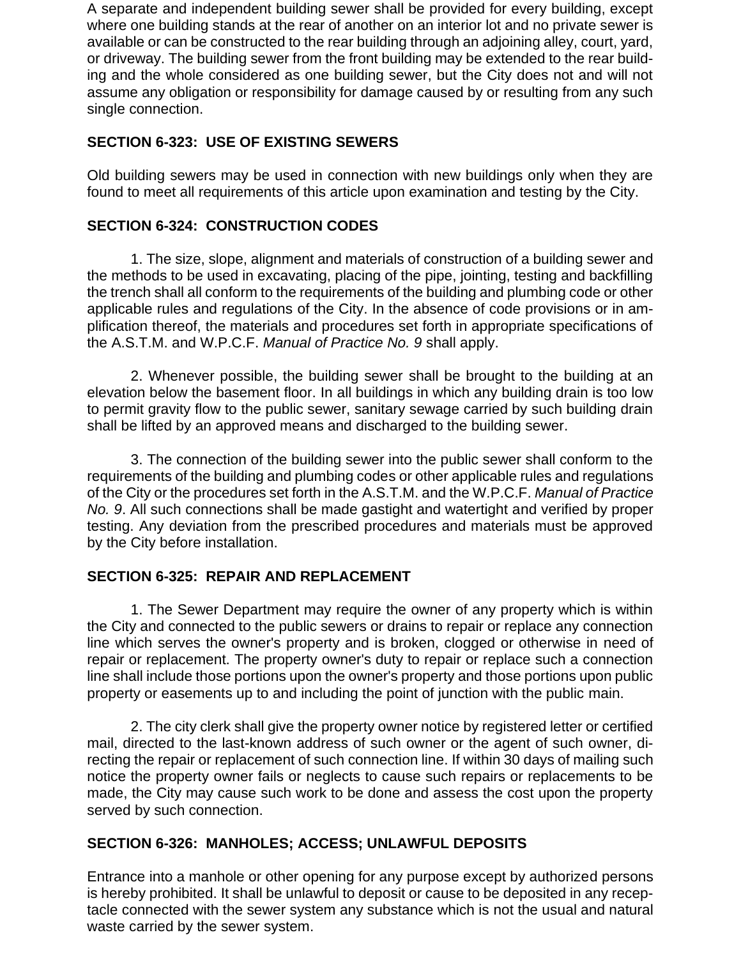A separate and independent building sewer shall be provided for every building, except where one building stands at the rear of another on an interior lot and no private sewer is available or can be constructed to the rear building through an adjoining alley, court, yard, or driveway. The building sewer from the front building may be extended to the rear building and the whole considered as one building sewer, but the City does not and will not assume any obligation or responsibility for damage caused by or resulting from any such single connection.

## **SECTION 6-323: USE OF EXISTING SEWERS**

Old building sewers may be used in connection with new buildings only when they are found to meet all requirements of this article upon examination and testing by the City.

### **SECTION 6-324: CONSTRUCTION CODES**

1. The size, slope, alignment and materials of construction of a building sewer and the methods to be used in excavating, placing of the pipe, jointing, testing and backfilling the trench shall all conform to the requirements of the building and plumbing code or other applicable rules and regulations of the City. In the absence of code provisions or in amplification thereof, the materials and procedures set forth in appropriate specifications of the A.S.T.M. and W.P.C.F. *Manual of Practice No. 9* shall apply.

2. Whenever possible, the building sewer shall be brought to the building at an elevation below the basement floor. In all buildings in which any building drain is too low to permit gravity flow to the public sewer, sanitary sewage carried by such building drain shall be lifted by an approved means and discharged to the building sewer.

3. The connection of the building sewer into the public sewer shall conform to the requirements of the building and plumbing codes or other applicable rules and regulations of the City or the procedures set forth in the A.S.T.M. and the W.P.C.F. *Manual of Practice No. 9*. All such connections shall be made gastight and watertight and verified by proper testing. Any deviation from the prescribed procedures and materials must be approved by the City before installation.

### **SECTION 6-325: REPAIR AND REPLACEMENT**

1. The Sewer Department may require the owner of any property which is within the City and connected to the public sewers or drains to repair or replace any connection line which serves the owner's property and is broken, clogged or otherwise in need of repair or replacement. The property owner's duty to repair or replace such a connection line shall include those portions upon the owner's property and those portions upon public property or easements up to and including the point of junction with the public main.

2. The city clerk shall give the property owner notice by registered letter or certified mail, directed to the last-known address of such owner or the agent of such owner, directing the repair or replacement of such connection line. If within 30 days of mailing such notice the property owner fails or neglects to cause such repairs or replacements to be made, the City may cause such work to be done and assess the cost upon the property served by such connection.

### **SECTION 6-326: MANHOLES; ACCESS; UNLAWFUL DEPOSITS**

Entrance into a manhole or other opening for any purpose except by authorized persons is hereby prohibited. It shall be unlawful to deposit or cause to be deposited in any receptacle connected with the sewer system any substance which is not the usual and natural waste carried by the sewer system.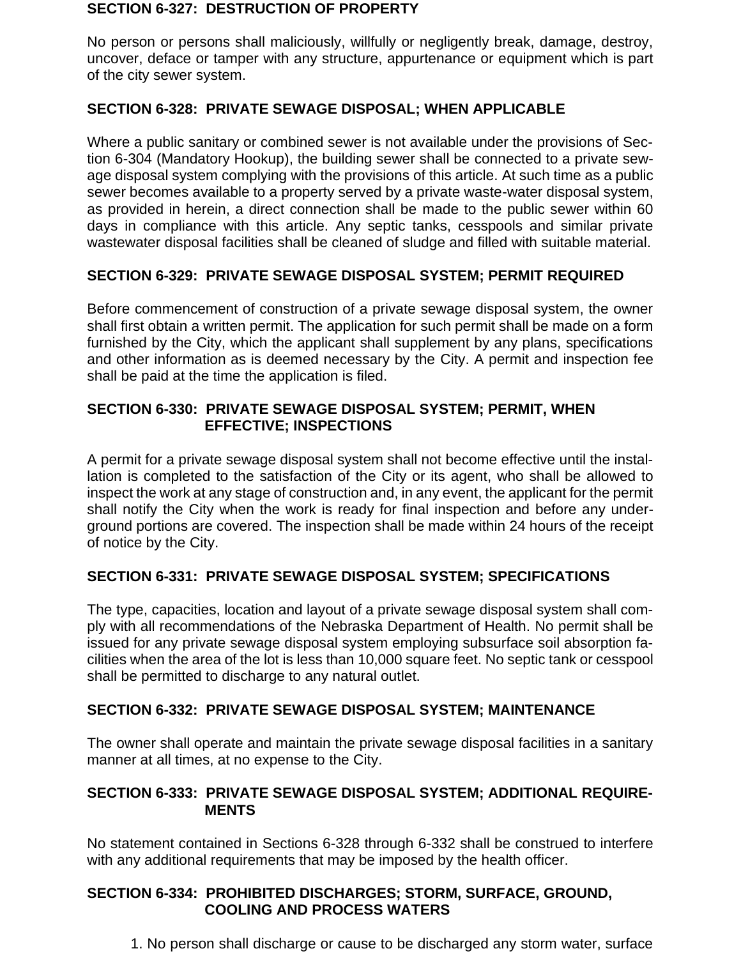#### **SECTION 6-327: DESTRUCTION OF PROPERTY**

No person or persons shall maliciously, willfully or negligently break, damage, destroy, uncover, deface or tamper with any structure, appurtenance or equipment which is part of the city sewer system.

### **SECTION 6-328: PRIVATE SEWAGE DISPOSAL; WHEN APPLICABLE**

Where a public sanitary or combined sewer is not available under the provisions of Section 6-304 (Mandatory Hookup), the building sewer shall be connected to a private sewage disposal system complying with the provisions of this article. At such time as a public sewer becomes available to a property served by a private waste-water disposal system, as provided in herein, a direct connection shall be made to the public sewer within 60 days in compliance with this article. Any septic tanks, cesspools and similar private wastewater disposal facilities shall be cleaned of sludge and filled with suitable material.

### **SECTION 6-329: PRIVATE SEWAGE DISPOSAL SYSTEM; PERMIT REQUIRED**

Before commencement of construction of a private sewage disposal system, the owner shall first obtain a written permit. The application for such permit shall be made on a form furnished by the City, which the applicant shall supplement by any plans, specifications and other information as is deemed necessary by the City. A permit and inspection fee shall be paid at the time the application is filed.

### **SECTION 6-330: PRIVATE SEWAGE DISPOSAL SYSTEM; PERMIT, WHEN EFFECTIVE; INSPECTIONS**

A permit for a private sewage disposal system shall not become effective until the installation is completed to the satisfaction of the City or its agent, who shall be allowed to inspect the work at any stage of construction and, in any event, the applicant for the permit shall notify the City when the work is ready for final inspection and before any underground portions are covered. The inspection shall be made within 24 hours of the receipt of notice by the City.

### **SECTION 6-331: PRIVATE SEWAGE DISPOSAL SYSTEM; SPECIFICATIONS**

The type, capacities, location and layout of a private sewage disposal system shall comply with all recommendations of the Nebraska Department of Health. No permit shall be issued for any private sewage disposal system employing subsurface soil absorption facilities when the area of the lot is less than 10,000 square feet. No septic tank or cesspool shall be permitted to discharge to any natural outlet.

### **SECTION 6-332: PRIVATE SEWAGE DISPOSAL SYSTEM; MAINTENANCE**

The owner shall operate and maintain the private sewage disposal facilities in a sanitary manner at all times, at no expense to the City.

### **SECTION 6-333: PRIVATE SEWAGE DISPOSAL SYSTEM; ADDITIONAL REQUIRE-MENTS**

No statement contained in Sections 6-328 through 6-332 shall be construed to interfere with any additional requirements that may be imposed by the health officer.

### **SECTION 6-334: PROHIBITED DISCHARGES; STORM, SURFACE, GROUND, COOLING AND PROCESS WATERS**

1. No person shall discharge or cause to be discharged any storm water, surface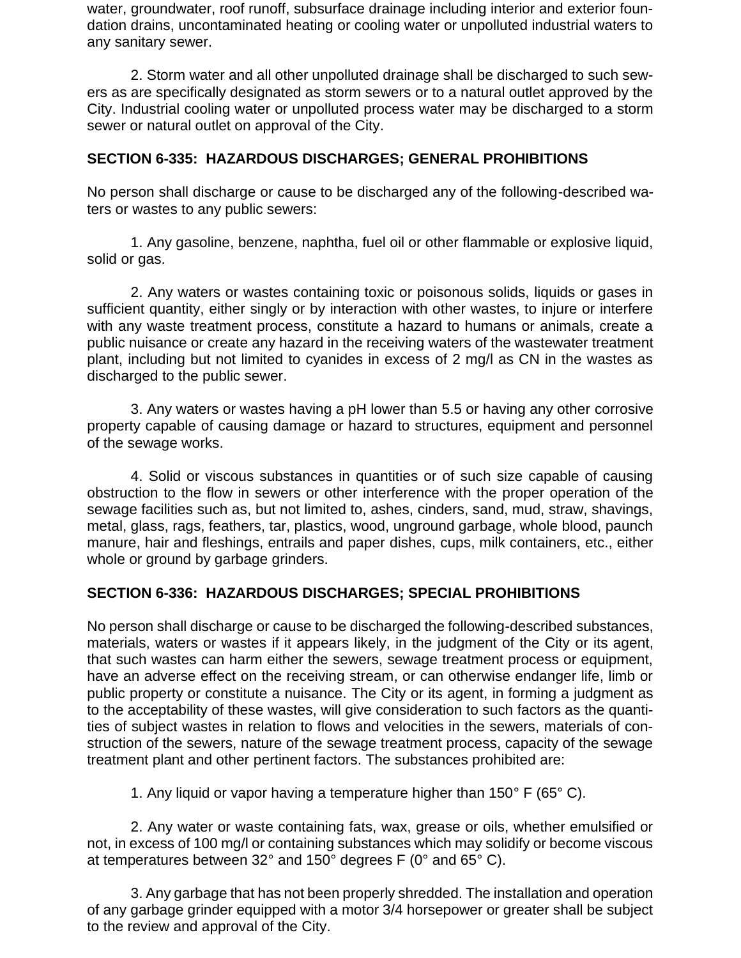water, groundwater, roof runoff, subsurface drainage including interior and exterior foundation drains, uncontaminated heating or cooling water or unpolluted industrial waters to any sanitary sewer.

2. Storm water and all other unpolluted drainage shall be discharged to such sewers as are specifically designated as storm sewers or to a natural outlet approved by the City. Industrial cooling water or unpolluted process water may be discharged to a storm sewer or natural outlet on approval of the City.

### **SECTION 6-335: HAZARDOUS DISCHARGES; GENERAL PROHIBITIONS**

No person shall discharge or cause to be discharged any of the following-described waters or wastes to any public sewers:

1. Any gasoline, benzene, naphtha, fuel oil or other flammable or explosive liquid, solid or gas.

2. Any waters or wastes containing toxic or poisonous solids, liquids or gases in sufficient quantity, either singly or by interaction with other wastes, to injure or interfere with any waste treatment process, constitute a hazard to humans or animals, create a public nuisance or create any hazard in the receiving waters of the wastewater treatment plant, including but not limited to cyanides in excess of 2 mg/l as CN in the wastes as discharged to the public sewer.

3. Any waters or wastes having a pH lower than 5.5 or having any other corrosive property capable of causing damage or hazard to structures, equipment and personnel of the sewage works.

4. Solid or viscous substances in quantities or of such size capable of causing obstruction to the flow in sewers or other interference with the proper operation of the sewage facilities such as, but not limited to, ashes, cinders, sand, mud, straw, shavings, metal, glass, rags, feathers, tar, plastics, wood, unground garbage, whole blood, paunch manure, hair and fleshings, entrails and paper dishes, cups, milk containers, etc., either whole or ground by garbage grinders.

### **SECTION 6-336: HAZARDOUS DISCHARGES; SPECIAL PROHIBITIONS**

No person shall discharge or cause to be discharged the following-described substances, materials, waters or wastes if it appears likely, in the judgment of the City or its agent, that such wastes can harm either the sewers, sewage treatment process or equipment, have an adverse effect on the receiving stream, or can otherwise endanger life, limb or public property or constitute a nuisance. The City or its agent, in forming a judgment as to the acceptability of these wastes, will give consideration to such factors as the quantities of subject wastes in relation to flows and velocities in the sewers, materials of construction of the sewers, nature of the sewage treatment process, capacity of the sewage treatment plant and other pertinent factors. The substances prohibited are:

1. Any liquid or vapor having a temperature higher than 150° F (65° C).

2. Any water or waste containing fats, wax, grease or oils, whether emulsified or not, in excess of 100 mg/l or containing substances which may solidify or become viscous at temperatures between 32° and 150° degrees F (0° and 65° C).

3. Any garbage that has not been properly shredded. The installation and operation of any garbage grinder equipped with a motor 3/4 horsepower or greater shall be subject to the review and approval of the City.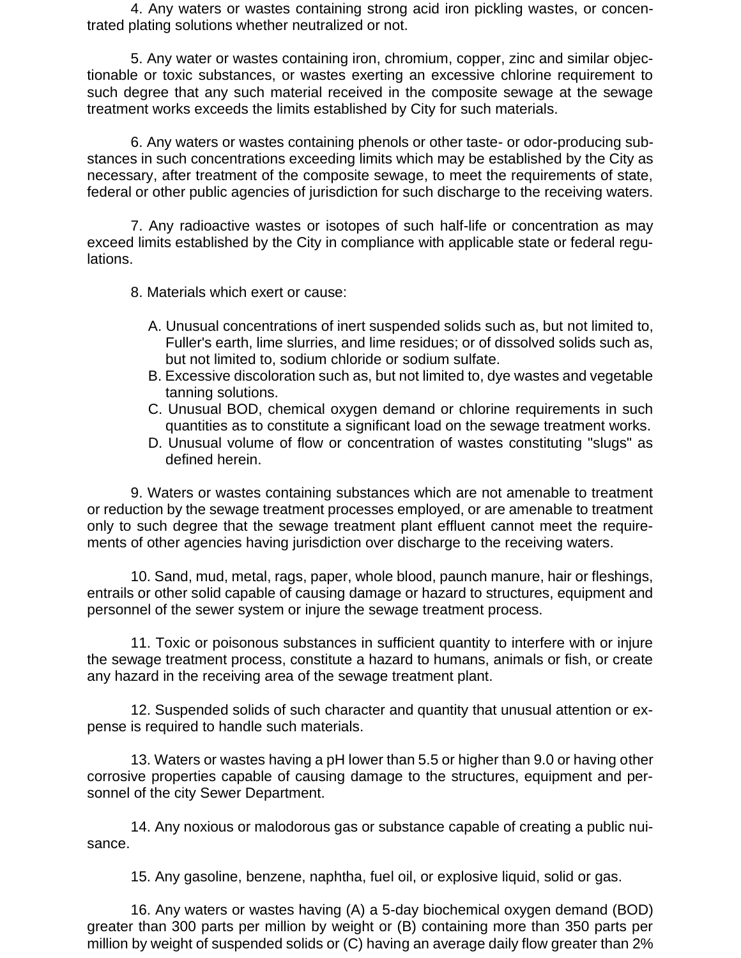4. Any waters or wastes containing strong acid iron pickling wastes, or concentrated plating solutions whether neutralized or not.

5. Any water or wastes containing iron, chromium, copper, zinc and similar objectionable or toxic substances, or wastes exerting an excessive chlorine requirement to such degree that any such material received in the composite sewage at the sewage treatment works exceeds the limits established by City for such materials.

6. Any waters or wastes containing phenols or other taste- or odor-producing substances in such concentrations exceeding limits which may be established by the City as necessary, after treatment of the composite sewage, to meet the requirements of state, federal or other public agencies of jurisdiction for such discharge to the receiving waters.

7. Any radioactive wastes or isotopes of such half-life or concentration as may exceed limits established by the City in compliance with applicable state or federal regulations.

8. Materials which exert or cause:

- A. Unusual concentrations of inert suspended solids such as, but not limited to, Fuller's earth, lime slurries, and lime residues; or of dissolved solids such as, but not limited to, sodium chloride or sodium sulfate.
- B. Excessive discoloration such as, but not limited to, dye wastes and vegetable tanning solutions.
- C. Unusual BOD, chemical oxygen demand or chlorine requirements in such quantities as to constitute a significant load on the sewage treatment works.
- D. Unusual volume of flow or concentration of wastes constituting "slugs" as defined herein.

9. Waters or wastes containing substances which are not amenable to treatment or reduction by the sewage treatment processes employed, or are amenable to treatment only to such degree that the sewage treatment plant effluent cannot meet the requirements of other agencies having jurisdiction over discharge to the receiving waters.

10. Sand, mud, metal, rags, paper, whole blood, paunch manure, hair or fleshings, entrails or other solid capable of causing damage or hazard to structures, equipment and personnel of the sewer system or injure the sewage treatment process.

11. Toxic or poisonous substances in sufficient quantity to interfere with or injure the sewage treatment process, constitute a hazard to humans, animals or fish, or create any hazard in the receiving area of the sewage treatment plant.

12. Suspended solids of such character and quantity that unusual attention or expense is required to handle such materials.

13. Waters or wastes having a pH lower than 5.5 or higher than 9.0 or having other corrosive properties capable of causing damage to the structures, equipment and personnel of the city Sewer Department.

14. Any noxious or malodorous gas or substance capable of creating a public nuisance.

15. Any gasoline, benzene, naphtha, fuel oil, or explosive liquid, solid or gas.

16. Any waters or wastes having (A) a 5-day biochemical oxygen demand (BOD) greater than 300 parts per million by weight or (B) containing more than 350 parts per million by weight of suspended solids or (C) having an average daily flow greater than 2%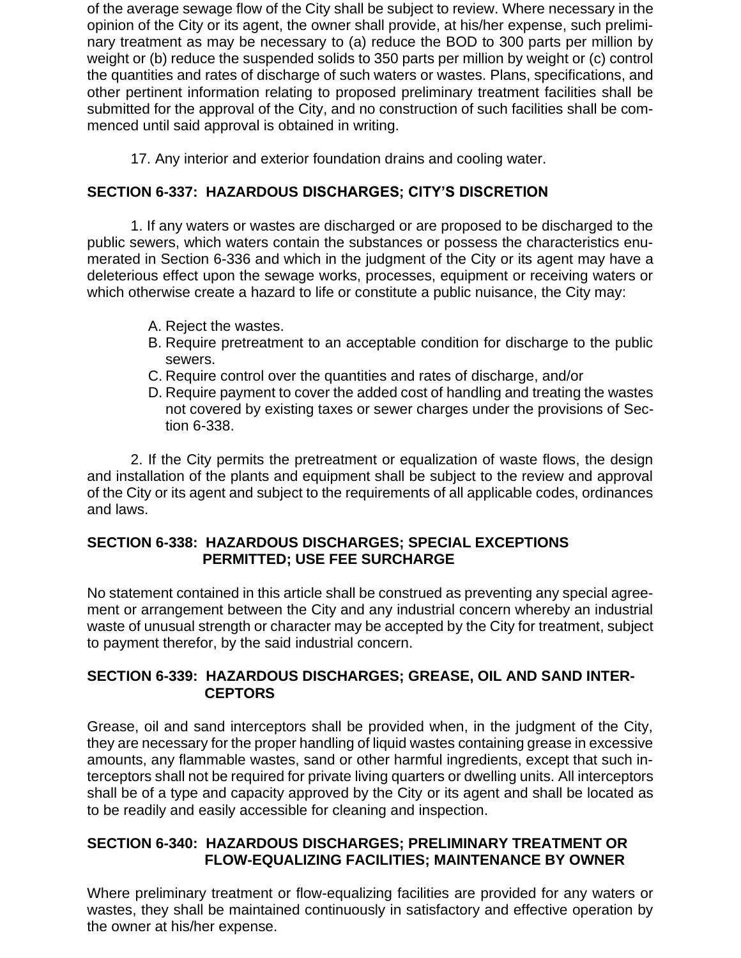of the average sewage flow of the City shall be subject to review. Where necessary in the opinion of the City or its agent, the owner shall provide, at his/her expense, such preliminary treatment as may be necessary to (a) reduce the BOD to 300 parts per million by weight or (b) reduce the suspended solids to 350 parts per million by weight or (c) control the quantities and rates of discharge of such waters or wastes. Plans, specifications, and other pertinent information relating to proposed preliminary treatment facilities shall be submitted for the approval of the City, and no construction of such facilities shall be commenced until said approval is obtained in writing.

17. Any interior and exterior foundation drains and cooling water.

## **SECTION 6-337: HAZARDOUS DISCHARGES; CITY'S DISCRETION**

1. If any waters or wastes are discharged or are proposed to be discharged to the public sewers, which waters contain the substances or possess the characteristics enumerated in Section 6-336 and which in the judgment of the City or its agent may have a deleterious effect upon the sewage works, processes, equipment or receiving waters or which otherwise create a hazard to life or constitute a public nuisance, the City may:

- A. Reject the wastes.
- B. Require pretreatment to an acceptable condition for discharge to the public sewers.
- C. Require control over the quantities and rates of discharge, and/or
- D. Require payment to cover the added cost of handling and treating the wastes not covered by existing taxes or sewer charges under the provisions of Section 6-338.

2. If the City permits the pretreatment or equalization of waste flows, the design and installation of the plants and equipment shall be subject to the review and approval of the City or its agent and subject to the requirements of all applicable codes, ordinances and laws.

### **SECTION 6-338: HAZARDOUS DISCHARGES; SPECIAL EXCEPTIONS PERMITTED; USE FEE SURCHARGE**

No statement contained in this article shall be construed as preventing any special agreement or arrangement between the City and any industrial concern whereby an industrial waste of unusual strength or character may be accepted by the City for treatment, subject to payment therefor, by the said industrial concern.

### **SECTION 6-339: HAZARDOUS DISCHARGES; GREASE, OIL AND SAND INTER-CEPTORS**

Grease, oil and sand interceptors shall be provided when, in the judgment of the City, they are necessary for the proper handling of liquid wastes containing grease in excessive amounts, any flammable wastes, sand or other harmful ingredients, except that such interceptors shall not be required for private living quarters or dwelling units. All interceptors shall be of a type and capacity approved by the City or its agent and shall be located as to be readily and easily accessible for cleaning and inspection.

### **SECTION 6-340: HAZARDOUS DISCHARGES; PRELIMINARY TREATMENT OR FLOW-EQUALIZING FACILITIES; MAINTENANCE BY OWNER**

Where preliminary treatment or flow-equalizing facilities are provided for any waters or wastes, they shall be maintained continuously in satisfactory and effective operation by the owner at his/her expense.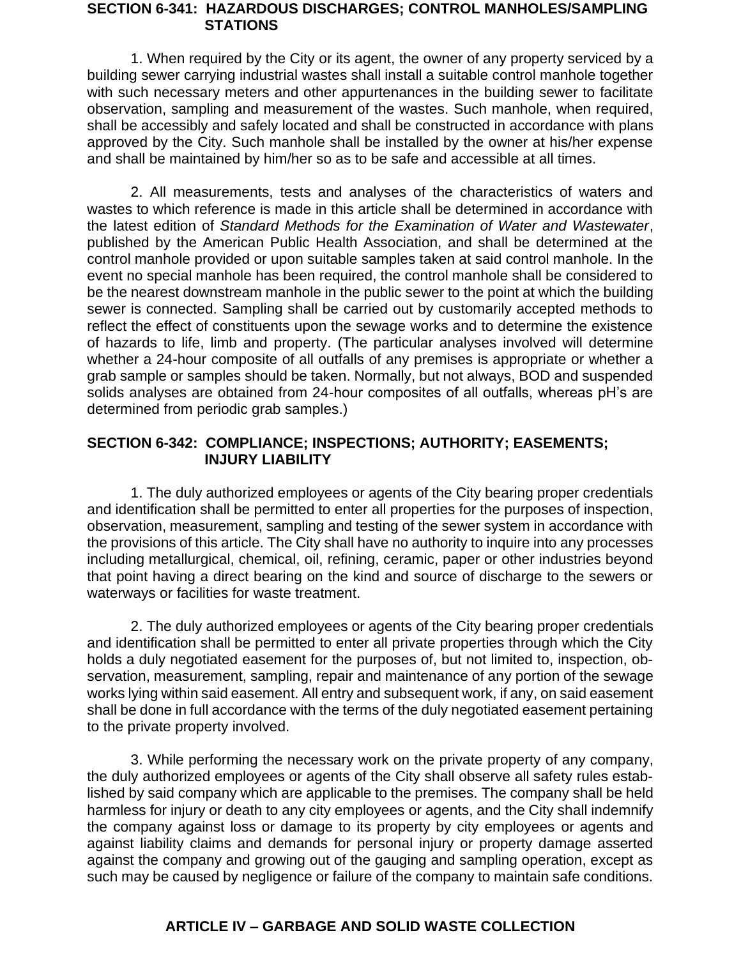#### **SECTION 6-341: HAZARDOUS DISCHARGES; CONTROL MANHOLES/SAMPLING STATIONS**

1. When required by the City or its agent, the owner of any property serviced by a building sewer carrying industrial wastes shall install a suitable control manhole together with such necessary meters and other appurtenances in the building sewer to facilitate observation, sampling and measurement of the wastes. Such manhole, when required, shall be accessibly and safely located and shall be constructed in accordance with plans approved by the City. Such manhole shall be installed by the owner at his/her expense and shall be maintained by him/her so as to be safe and accessible at all times.

2. All measurements, tests and analyses of the characteristics of waters and wastes to which reference is made in this article shall be determined in accordance with the latest edition of *Standard Methods for the Examination of Water and Wastewater*, published by the American Public Health Association, and shall be determined at the control manhole provided or upon suitable samples taken at said control manhole. In the event no special manhole has been required, the control manhole shall be considered to be the nearest downstream manhole in the public sewer to the point at which the building sewer is connected. Sampling shall be carried out by customarily accepted methods to reflect the effect of constituents upon the sewage works and to determine the existence of hazards to life, limb and property. (The particular analyses involved will determine whether a 24-hour composite of all outfalls of any premises is appropriate or whether a grab sample or samples should be taken. Normally, but not always, BOD and suspended solids analyses are obtained from 24-hour composites of all outfalls, whereas pH's are determined from periodic grab samples.)

#### **SECTION 6-342: COMPLIANCE; INSPECTIONS; AUTHORITY; EASEMENTS; INJURY LIABILITY**

1. The duly authorized employees or agents of the City bearing proper credentials and identification shall be permitted to enter all properties for the purposes of inspection, observation, measurement, sampling and testing of the sewer system in accordance with the provisions of this article. The City shall have no authority to inquire into any processes including metallurgical, chemical, oil, refining, ceramic, paper or other industries beyond that point having a direct bearing on the kind and source of discharge to the sewers or waterways or facilities for waste treatment.

2. The duly authorized employees or agents of the City bearing proper credentials and identification shall be permitted to enter all private properties through which the City holds a duly negotiated easement for the purposes of, but not limited to, inspection, observation, measurement, sampling, repair and maintenance of any portion of the sewage works lying within said easement. All entry and subsequent work, if any, on said easement shall be done in full accordance with the terms of the duly negotiated easement pertaining to the private property involved.

3. While performing the necessary work on the private property of any company, the duly authorized employees or agents of the City shall observe all safety rules established by said company which are applicable to the premises. The company shall be held harmless for injury or death to any city employees or agents, and the City shall indemnify the company against loss or damage to its property by city employees or agents and against liability claims and demands for personal injury or property damage asserted against the company and growing out of the gauging and sampling operation, except as such may be caused by negligence or failure of the company to maintain safe conditions.

### **ARTICLE IV – GARBAGE AND SOLID WASTE COLLECTION**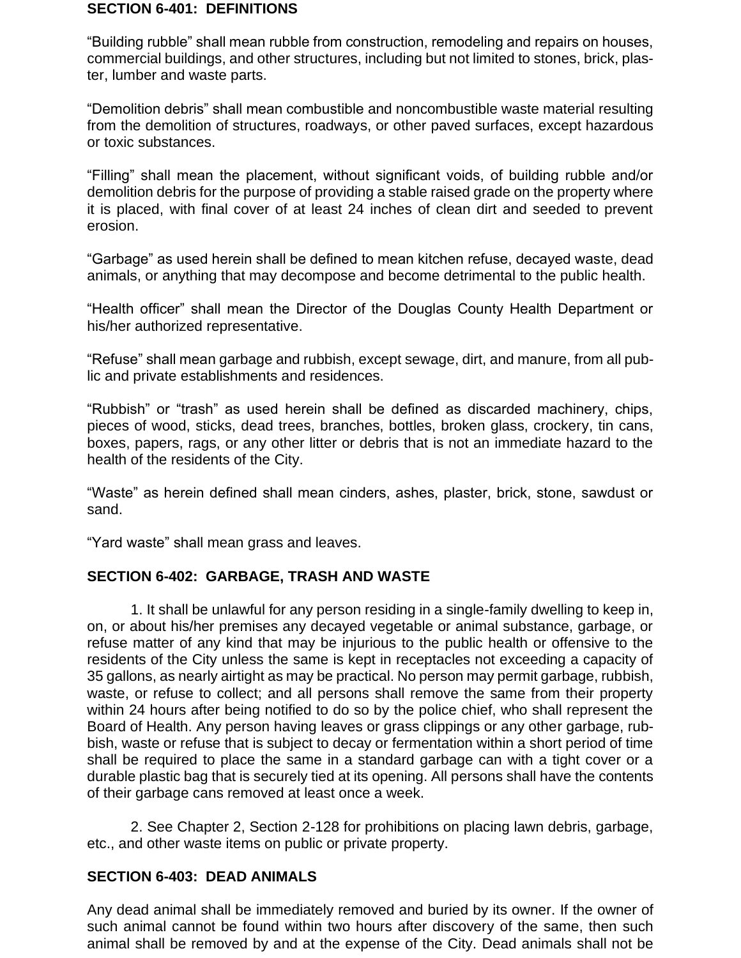#### **SECTION 6-401: DEFINITIONS**

"Building rubble" shall mean rubble from construction, remodeling and repairs on houses, commercial buildings, and other structures, including but not limited to stones, brick, plaster, lumber and waste parts.

"Demolition debris" shall mean combustible and noncombustible waste material resulting from the demolition of structures, roadways, or other paved surfaces, except hazardous or toxic substances.

"Filling" shall mean the placement, without significant voids, of building rubble and/or demolition debris for the purpose of providing a stable raised grade on the property where it is placed, with final cover of at least 24 inches of clean dirt and seeded to prevent erosion.

"Garbage" as used herein shall be defined to mean kitchen refuse, decayed waste, dead animals, or anything that may decompose and become detrimental to the public health.

"Health officer" shall mean the Director of the Douglas County Health Department or his/her authorized representative.

"Refuse" shall mean garbage and rubbish, except sewage, dirt, and manure, from all public and private establishments and residences.

"Rubbish" or "trash" as used herein shall be defined as discarded machinery, chips, pieces of wood, sticks, dead trees, branches, bottles, broken glass, crockery, tin cans, boxes, papers, rags, or any other litter or debris that is not an immediate hazard to the health of the residents of the City.

"Waste" as herein defined shall mean cinders, ashes, plaster, brick, stone, sawdust or sand.

"Yard waste" shall mean grass and leaves.

#### **SECTION 6-402: GARBAGE, TRASH AND WASTE**

1. It shall be unlawful for any person residing in a single-family dwelling to keep in, on, or about his/her premises any decayed vegetable or animal substance, garbage, or refuse matter of any kind that may be injurious to the public health or offensive to the residents of the City unless the same is kept in receptacles not exceeding a capacity of 35 gallons, as nearly airtight as may be practical. No person may permit garbage, rubbish, waste, or refuse to collect; and all persons shall remove the same from their property within 24 hours after being notified to do so by the police chief, who shall represent the Board of Health. Any person having leaves or grass clippings or any other garbage, rubbish, waste or refuse that is subject to decay or fermentation within a short period of time shall be required to place the same in a standard garbage can with a tight cover or a durable plastic bag that is securely tied at its opening. All persons shall have the contents of their garbage cans removed at least once a week.

2. See Chapter 2, Section 2-128 for prohibitions on placing lawn debris, garbage, etc., and other waste items on public or private property.

#### **SECTION 6-403: DEAD ANIMALS**

Any dead animal shall be immediately removed and buried by its owner. If the owner of such animal cannot be found within two hours after discovery of the same, then such animal shall be removed by and at the expense of the City. Dead animals shall not be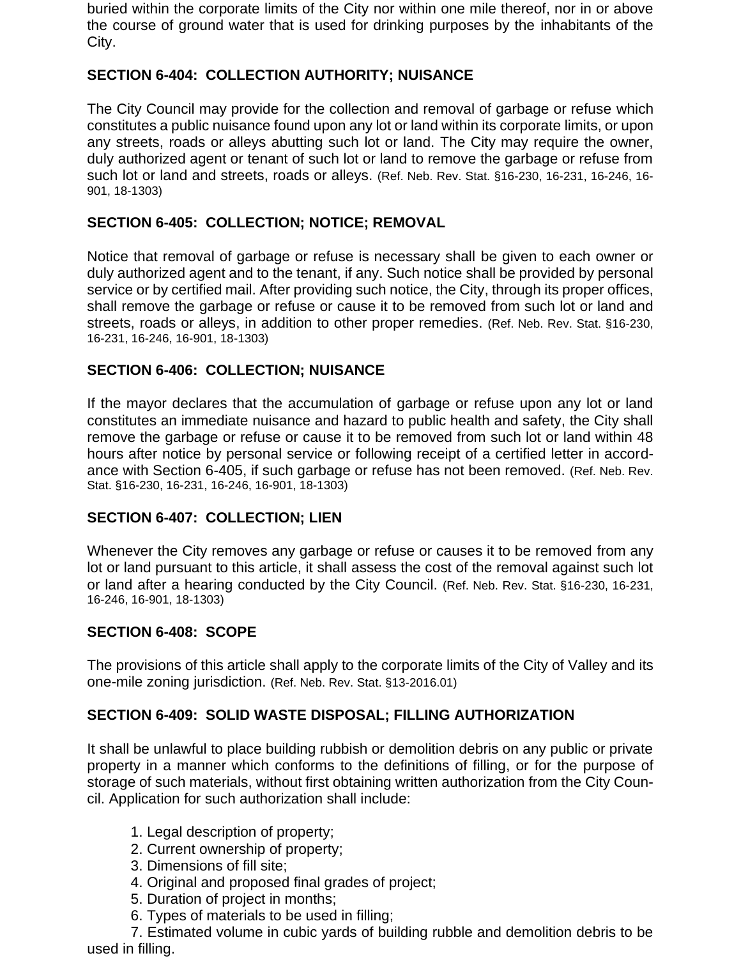buried within the corporate limits of the City nor within one mile thereof, nor in or above the course of ground water that is used for drinking purposes by the inhabitants of the City.

### **SECTION 6-404: COLLECTION AUTHORITY; NUISANCE**

The City Council may provide for the collection and removal of garbage or refuse which constitutes a public nuisance found upon any lot or land within its corporate limits, or upon any streets, roads or alleys abutting such lot or land. The City may require the owner, duly authorized agent or tenant of such lot or land to remove the garbage or refuse from such lot or land and streets, roads or alleys. (Ref. Neb. Rev. Stat. §16-230, 16-231, 16-246, 16- 901, 18-1303)

### **SECTION 6-405: COLLECTION; NOTICE; REMOVAL**

Notice that removal of garbage or refuse is necessary shall be given to each owner or duly authorized agent and to the tenant, if any. Such notice shall be provided by personal service or by certified mail. After providing such notice, the City, through its proper offices, shall remove the garbage or refuse or cause it to be removed from such lot or land and streets, roads or alleys, in addition to other proper remedies. (Ref. Neb. Rev. Stat. §16-230, 16-231, 16-246, 16-901, 18-1303)

### **SECTION 6-406: COLLECTION; NUISANCE**

If the mayor declares that the accumulation of garbage or refuse upon any lot or land constitutes an immediate nuisance and hazard to public health and safety, the City shall remove the garbage or refuse or cause it to be removed from such lot or land within 48 hours after notice by personal service or following receipt of a certified letter in accordance with Section 6-405, if such garbage or refuse has not been removed. (Ref. Neb. Rev. Stat. §16-230, 16-231, 16-246, 16-901, 18-1303)

### **SECTION 6-407: COLLECTION; LIEN**

Whenever the City removes any garbage or refuse or causes it to be removed from any lot or land pursuant to this article, it shall assess the cost of the removal against such lot or land after a hearing conducted by the City Council. (Ref. Neb. Rev. Stat. §16-230, 16-231, 16-246, 16-901, 18-1303)

### **SECTION 6-408: SCOPE**

The provisions of this article shall apply to the corporate limits of the City of Valley and its one-mile zoning jurisdiction. (Ref. Neb. Rev. Stat. §13-2016.01)

### **SECTION 6-409: SOLID WASTE DISPOSAL; FILLING AUTHORIZATION**

It shall be unlawful to place building rubbish or demolition debris on any public or private property in a manner which conforms to the definitions of filling, or for the purpose of storage of such materials, without first obtaining written authorization from the City Council. Application for such authorization shall include:

- 1. Legal description of property;
- 2. Current ownership of property;
- 3. Dimensions of fill site;
- 4. Original and proposed final grades of project;
- 5. Duration of project in months;
- 6. Types of materials to be used in filling;

7. Estimated volume in cubic yards of building rubble and demolition debris to be used in filling.